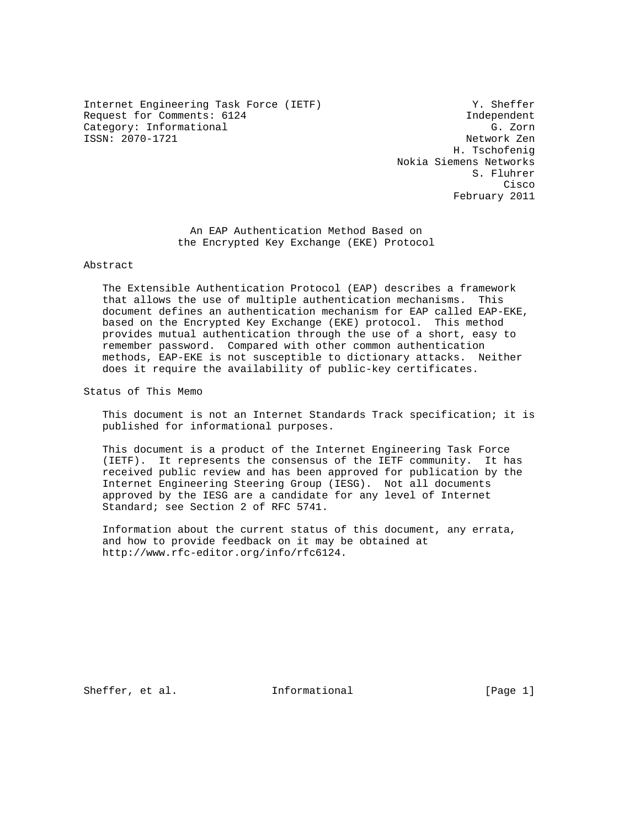Internet Engineering Task Force (IETF) Y. Sheffer Request for Comments: 6124 Independent Category: Informational G. Zorn ISSN: 2070-1721 Network Zen

 H. Tschofenig Nokia Siemens Networks S. Fluhrer **Cisco de la contrata de la contrata de la contrata de la contrata de la contrata de la contrata de la contrat** February 2011

> An EAP Authentication Method Based on the Encrypted Key Exchange (EKE) Protocol

# Abstract

 The Extensible Authentication Protocol (EAP) describes a framework that allows the use of multiple authentication mechanisms. This document defines an authentication mechanism for EAP called EAP-EKE, based on the Encrypted Key Exchange (EKE) protocol. This method provides mutual authentication through the use of a short, easy to remember password. Compared with other common authentication methods, EAP-EKE is not susceptible to dictionary attacks. Neither does it require the availability of public-key certificates.

Status of This Memo

 This document is not an Internet Standards Track specification; it is published for informational purposes.

 This document is a product of the Internet Engineering Task Force (IETF). It represents the consensus of the IETF community. It has received public review and has been approved for publication by the Internet Engineering Steering Group (IESG). Not all documents approved by the IESG are a candidate for any level of Internet Standard; see Section 2 of RFC 5741.

 Information about the current status of this document, any errata, and how to provide feedback on it may be obtained at http://www.rfc-editor.org/info/rfc6124.

Sheffer, et al. Informational [Page 1]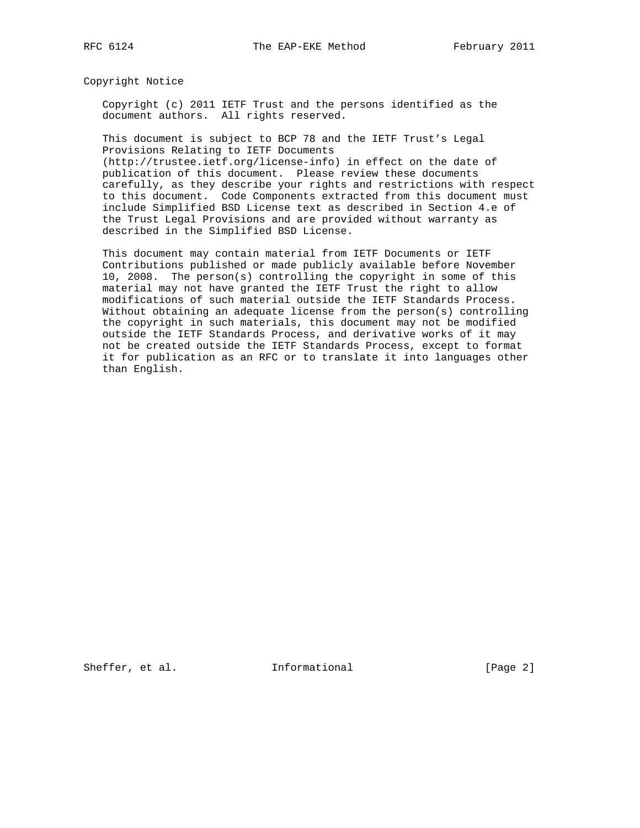Copyright Notice

 Copyright (c) 2011 IETF Trust and the persons identified as the document authors. All rights reserved.

 This document is subject to BCP 78 and the IETF Trust's Legal Provisions Relating to IETF Documents

 (http://trustee.ietf.org/license-info) in effect on the date of publication of this document. Please review these documents carefully, as they describe your rights and restrictions with respect to this document. Code Components extracted from this document must include Simplified BSD License text as described in Section 4.e of the Trust Legal Provisions and are provided without warranty as described in the Simplified BSD License.

 This document may contain material from IETF Documents or IETF Contributions published or made publicly available before November 10, 2008. The person(s) controlling the copyright in some of this material may not have granted the IETF Trust the right to allow modifications of such material outside the IETF Standards Process. Without obtaining an adequate license from the person(s) controlling the copyright in such materials, this document may not be modified outside the IETF Standards Process, and derivative works of it may not be created outside the IETF Standards Process, except to format it for publication as an RFC or to translate it into languages other than English.

Sheffer, et al. 1nformational [Page 2]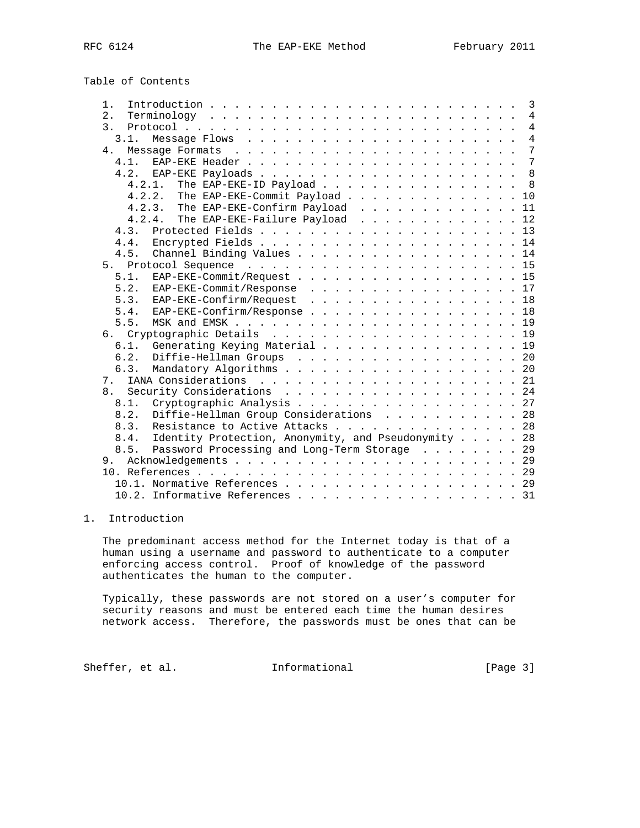Table of Contents

| $1$ .          | 3                                                   |
|----------------|-----------------------------------------------------|
| 2.             | $\overline{4}$                                      |
| $\mathcal{E}$  | $\overline{4}$                                      |
| 3.1.           | $\overline{4}$                                      |
| 4.             | 7                                                   |
|                | 7                                                   |
|                | 8                                                   |
|                | The EAP-EKE-ID Payload<br>8<br>4.2.1.               |
|                | 4.2.2. The EAP-EKE-Commit Payload<br>10             |
|                | 4.2.3. The EAP-EKE-Confirm Payload 11               |
|                | The EAP-EKE-Failure Payload 12<br>4.2.4.            |
| 4.3.           |                                                     |
| 4.4.           |                                                     |
| 4.5.           | Channel Binding Values 14                           |
|                |                                                     |
| 5.1.           | EAP-EKE-Commit/Request 15                           |
| 5.2.           | EAP-EKE-Commit/Response17                           |
| 5.3.           | EAP-EKE-Confirm/Request 18                          |
| 5.4.           | EAP-EKE-Confirm/Response 18                         |
| 5.5.           |                                                     |
|                |                                                     |
| 6.1.           | Generating Keying Material 19                       |
| 6.2.           | Diffie-Hellman Groups 20                            |
| 6.3.           | Mandatory Algorithms 20                             |
| 7.             |                                                     |
| 8 <sub>1</sub> | Security Considerations 24                          |
| 8.1.           | Cryptographic Analysis 27                           |
| 8.2.           | Diffie-Hellman Group Considerations 28              |
| 8.3.           | Resistance to Active Attacks 28                     |
| 8.4.           | Identity Protection, Anonymity, and Pseudonymity 28 |
| 8.5.           | Password Processing and Long-Term Storage 29        |
| 9.             |                                                     |
|                |                                                     |
|                |                                                     |
|                | 10.2. Informative References 31                     |

# 1. Introduction

 The predominant access method for the Internet today is that of a human using a username and password to authenticate to a computer enforcing access control. Proof of knowledge of the password authenticates the human to the computer.

 Typically, these passwords are not stored on a user's computer for security reasons and must be entered each time the human desires network access. Therefore, the passwords must be ones that can be

Sheffer, et al. 1nformational [Page 3]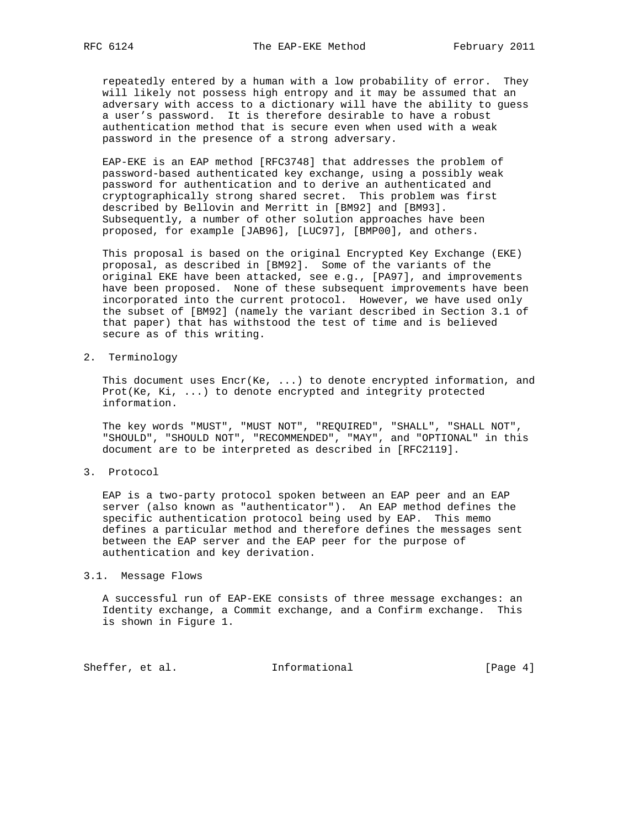repeatedly entered by a human with a low probability of error. They will likely not possess high entropy and it may be assumed that an adversary with access to a dictionary will have the ability to guess a user's password. It is therefore desirable to have a robust authentication method that is secure even when used with a weak password in the presence of a strong adversary.

 EAP-EKE is an EAP method [RFC3748] that addresses the problem of password-based authenticated key exchange, using a possibly weak password for authentication and to derive an authenticated and cryptographically strong shared secret. This problem was first described by Bellovin and Merritt in [BM92] and [BM93]. Subsequently, a number of other solution approaches have been proposed, for example [JAB96], [LUC97], [BMP00], and others.

 This proposal is based on the original Encrypted Key Exchange (EKE) proposal, as described in [BM92]. Some of the variants of the original EKE have been attacked, see e.g., [PA97], and improvements have been proposed. None of these subsequent improvements have been incorporated into the current protocol. However, we have used only the subset of [BM92] (namely the variant described in Section 3.1 of that paper) that has withstood the test of time and is believed secure as of this writing.

2. Terminology

 This document uses Encr(Ke, ...) to denote encrypted information, and Prot(Ke, Ki, ...) to denote encrypted and integrity protected information.

 The key words "MUST", "MUST NOT", "REQUIRED", "SHALL", "SHALL NOT", "SHOULD", "SHOULD NOT", "RECOMMENDED", "MAY", and "OPTIONAL" in this document are to be interpreted as described in [RFC2119].

3. Protocol

 EAP is a two-party protocol spoken between an EAP peer and an EAP server (also known as "authenticator"). An EAP method defines the specific authentication protocol being used by EAP. This memo defines a particular method and therefore defines the messages sent between the EAP server and the EAP peer for the purpose of authentication and key derivation.

#### 3.1. Message Flows

 A successful run of EAP-EKE consists of three message exchanges: an Identity exchange, a Commit exchange, and a Confirm exchange. This is shown in Figure 1.

Sheffer, et al. 1nformational [Page 4]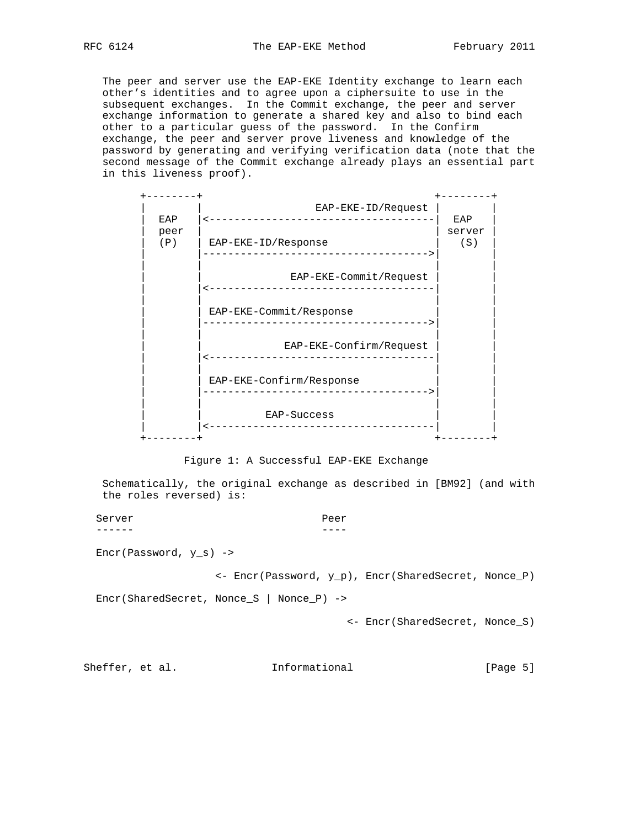The peer and server use the EAP-EKE Identity exchange to learn each other's identities and to agree upon a ciphersuite to use in the subsequent exchanges. In the Commit exchange, the peer and server exchange information to generate a shared key and also to bind each other to a particular guess of the password. In the Confirm exchange, the peer and server prove liveness and knowledge of the password by generating and verifying verification data (note that the second message of the Commit exchange already plays an essential part in this liveness proof).



Figure 1: A Successful EAP-EKE Exchange

 Schematically, the original exchange as described in [BM92] (and with the roles reversed) is:

Server Peer

------ ----

Encr(Password, y\_s) ->

<- Encr(Password, y\_p), Encr(SharedSecret, Nonce\_P)

Encr(SharedSecret, Nonce\_S | Nonce\_P) ->

<- Encr(SharedSecret, Nonce\_S)

Sheffer, et al. 1nformational [Page 5]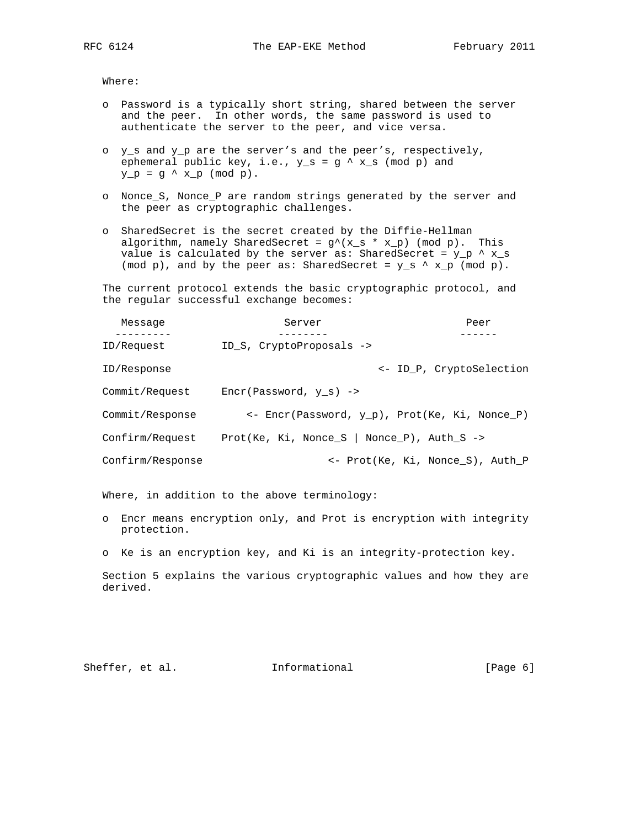Where:

- o Password is a typically short string, shared between the server and the peer. In other words, the same password is used to authenticate the server to the peer, and vice versa.
- o y\_s and y\_p are the server's and the peer's, respectively, ephemeral public key, i.e.,  $y_s = g' x_s \pmod{p}$  and  $y_p = g^* x_p \pmod{p}$ .
- o Nonce\_S, Nonce\_P are random strings generated by the server and the peer as cryptographic challenges.
- o SharedSecret is the secret created by the Diffie-Hellman algorithm, namely SharedSecret =  $g'(x_s * x_p)$  (mod p). This value is calculated by the server as: SharedSecret =  $y_p \land x_s$ (mod p), and by the peer as: SharedSecret =  $y_s \land x_p$  (mod p).

 The current protocol extends the basic cryptographic protocol, and the regular successful exchange becomes:

| Message          | Server                                                  | Peer                             |
|------------------|---------------------------------------------------------|----------------------------------|
|                  |                                                         |                                  |
| ID/Request       | ID S, CryptoProposals ->                                |                                  |
| ID/Response      |                                                         | <- ID P, CryptoSelection         |
| Commit/Request   | $Error(Password, y s)$ ->                               |                                  |
| Commit/Response  | $\leftarrow$ Encr(Password, y p), Prot(Ke, Ki, Nonce P) |                                  |
| Confirm/Request  | Prot(Ke, Ki, Nonce S   Nonce P), Auth S $\rightarrow$   |                                  |
| Confirm/Response |                                                         | <- Prot(Ke, Ki, Nonce S), Auth P |

Where, in addition to the above terminology:

- o Encr means encryption only, and Prot is encryption with integrity protection.
- o Ke is an encryption key, and Ki is an integrity-protection key.

 Section 5 explains the various cryptographic values and how they are derived.

Sheffer, et al. 1nformational [Page 6]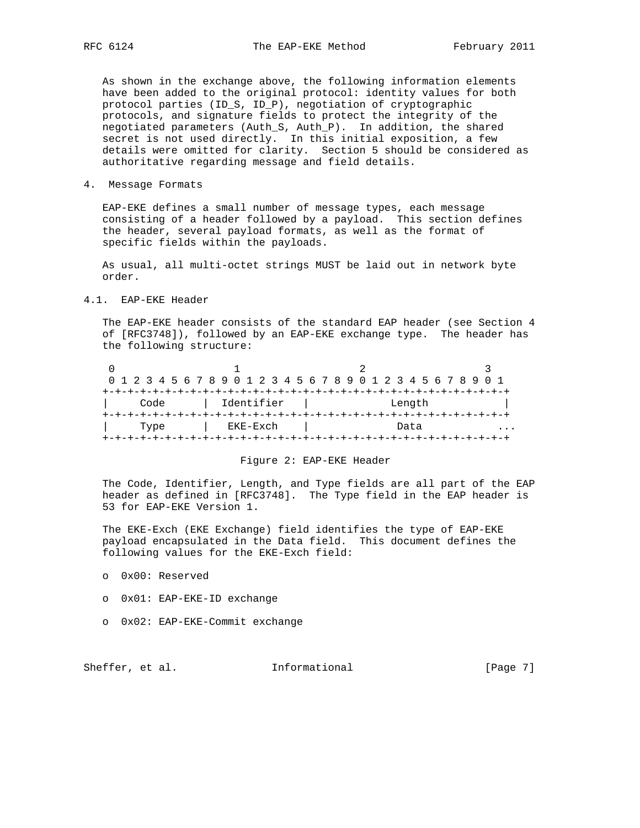As shown in the exchange above, the following information elements have been added to the original protocol: identity values for both protocol parties (ID\_S, ID\_P), negotiation of cryptographic protocols, and signature fields to protect the integrity of the negotiated parameters (Auth\_S, Auth\_P). In addition, the shared secret is not used directly. In this initial exposition, a few details were omitted for clarity. Section 5 should be considered as authoritative regarding message and field details.

4. Message Formats

 EAP-EKE defines a small number of message types, each message consisting of a header followed by a payload. This section defines the header, several payload formats, as well as the format of specific fields within the payloads.

 As usual, all multi-octet strings MUST be laid out in network byte order.

4.1. EAP-EKE Header

 The EAP-EKE header consists of the standard EAP header (see Section 4 of [RFC3748]), followed by an EAP-EKE exchange type. The header has the following structure:

| 0 1 2 3 4 5 6 7 8 9 0 1 2 3 4 5 6 7 8 9 0 1 2 3 4 5 6 7 8 9 0 1 |  |  |            |  |  |  |  |  |  |        |  |  |  |  |
|-----------------------------------------------------------------|--|--|------------|--|--|--|--|--|--|--------|--|--|--|--|
|                                                                 |  |  |            |  |  |  |  |  |  |        |  |  |  |  |
| Code                                                            |  |  | Identifier |  |  |  |  |  |  | Length |  |  |  |  |
|                                                                 |  |  |            |  |  |  |  |  |  |        |  |  |  |  |
| Type                                                            |  |  | EKE-Exch   |  |  |  |  |  |  | Data   |  |  |  |  |
|                                                                 |  |  |            |  |  |  |  |  |  |        |  |  |  |  |

# Figure 2: EAP-EKE Header

 The Code, Identifier, Length, and Type fields are all part of the EAP header as defined in [RFC3748]. The Type field in the EAP header is 53 for EAP-EKE Version 1.

 The EKE-Exch (EKE Exchange) field identifies the type of EAP-EKE payload encapsulated in the Data field. This document defines the following values for the EKE-Exch field:

- o 0x00: Reserved
- o 0x01: EAP-EKE-ID exchange
- o 0x02: EAP-EKE-Commit exchange

Sheffer, et al. 1nformational [Page 7]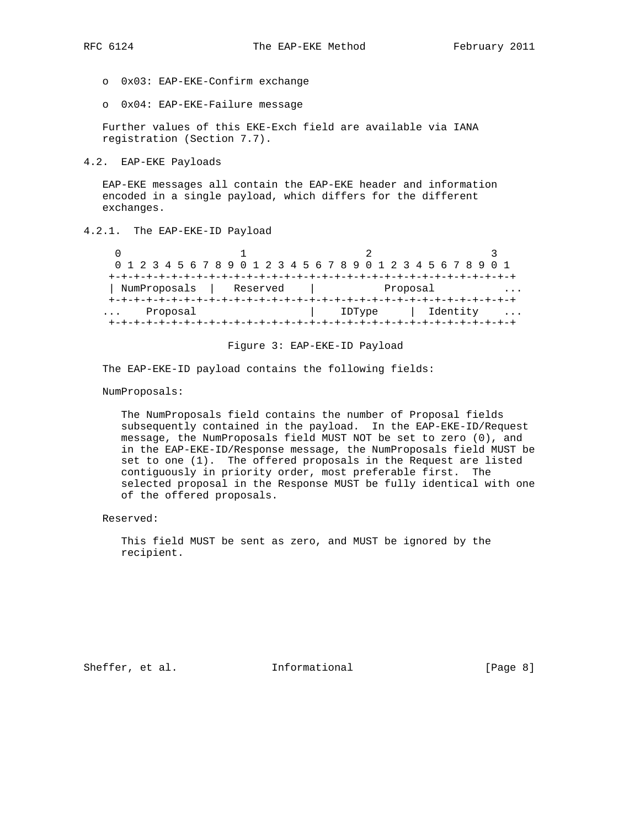- o 0x03: EAP-EKE-Confirm exchange
- o 0x04: EAP-EKE-Failure message

 Further values of this EKE-Exch field are available via IANA registration (Section 7.7).

4.2. EAP-EKE Payloads

 EAP-EKE messages all contain the EAP-EKE header and information encoded in a single payload, which differs for the different exchanges.

# 4.2.1. The EAP-EKE-ID Payload

| 0 1 2 3 4 5 6 7 8 9 0 1 2 3 4 5 6 7 8 9 0 1 2 3 4 5 6 7 8 9 0 1 |          |  |  |  |  |  |  |        |  |          |  |          |  |  |   |
|-----------------------------------------------------------------|----------|--|--|--|--|--|--|--------|--|----------|--|----------|--|--|---|
|                                                                 |          |  |  |  |  |  |  |        |  |          |  |          |  |  |   |
| NumProposals   Reserved                                         |          |  |  |  |  |  |  |        |  | Proposal |  |          |  |  |   |
|                                                                 |          |  |  |  |  |  |  |        |  |          |  |          |  |  |   |
|                                                                 | Proposal |  |  |  |  |  |  | IDType |  |          |  | Identity |  |  | . |
|                                                                 |          |  |  |  |  |  |  |        |  |          |  |          |  |  |   |

#### Figure 3: EAP-EKE-ID Payload

The EAP-EKE-ID payload contains the following fields:

NumProposals:

 The NumProposals field contains the number of Proposal fields subsequently contained in the payload. In the EAP-EKE-ID/Request message, the NumProposals field MUST NOT be set to zero (0), and in the EAP-EKE-ID/Response message, the NumProposals field MUST be set to one (1). The offered proposals in the Request are listed contiguously in priority order, most preferable first. The selected proposal in the Response MUST be fully identical with one of the offered proposals.

Reserved:

 This field MUST be sent as zero, and MUST be ignored by the recipient.

Sheffer, et al. 1nformational [Page 8]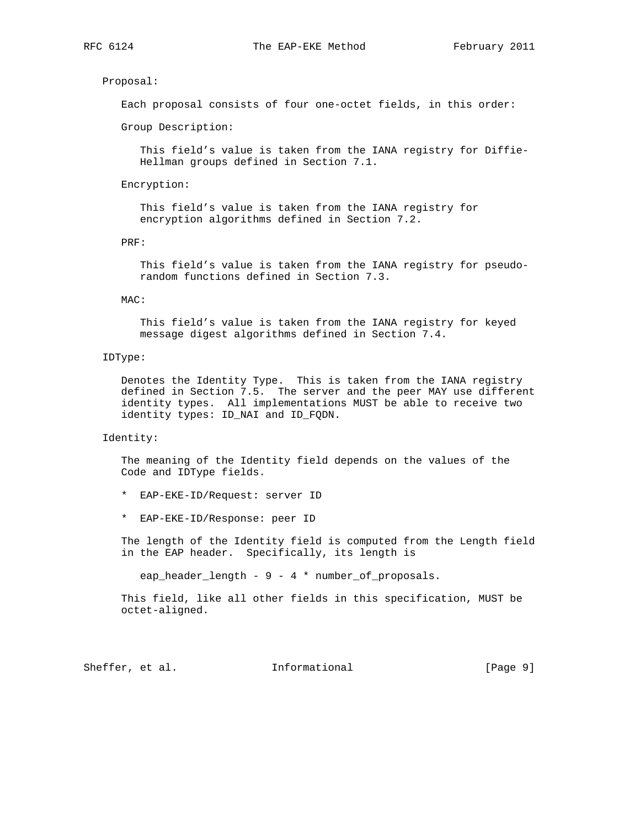# Proposal:

Each proposal consists of four one-octet fields, in this order:

Group Description:

 This field's value is taken from the IANA registry for Diffie- Hellman groups defined in Section 7.1.

Encryption:

 This field's value is taken from the IANA registry for encryption algorithms defined in Section 7.2.

PRF:

 This field's value is taken from the IANA registry for pseudo random functions defined in Section 7.3.

#### MAC:

 This field's value is taken from the IANA registry for keyed message digest algorithms defined in Section 7.4.

# IDType:

 Denotes the Identity Type. This is taken from the IANA registry defined in Section 7.5. The server and the peer MAY use different identity types. All implementations MUST be able to receive two identity types: ID\_NAI and ID\_FQDN.

# Identity:

 The meaning of the Identity field depends on the values of the Code and IDType fields.

- \* EAP-EKE-ID/Request: server ID
- \* EAP-EKE-ID/Response: peer ID

 The length of the Identity field is computed from the Length field in the EAP header. Specifically, its length is

eap\_header\_length - 9 - 4 \* number\_of\_proposals.

 This field, like all other fields in this specification, MUST be octet-aligned.

Sheffer, et al. 1nformational [Page 9]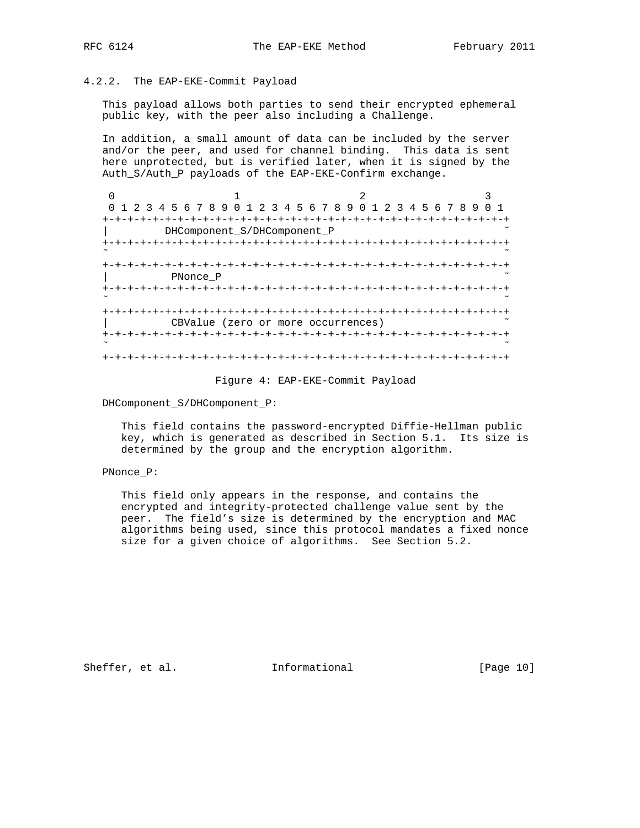# 4.2.2. The EAP-EKE-Commit Payload

 This payload allows both parties to send their encrypted ephemeral public key, with the peer also including a Challenge.

 In addition, a small amount of data can be included by the server and/or the peer, and used for channel binding. This data is sent here unprotected, but is verified later, when it is signed by the Auth\_S/Auth\_P payloads of the EAP-EKE-Confirm exchange.

| 1 2 3 4 5 6 7 8 9 0 1 2 3 4 5 6 7 8 9 0 1 2 3 4 5 6 7 8 9 |                          |  |  |  | O 1 |
|-----------------------------------------------------------|--------------------------|--|--|--|-----|
|                                                           | $-+ - + - + - + - + - +$ |  |  |  |     |
| DHComponent S/DHComponent P                               |                          |  |  |  |     |
|                                                           |                          |  |  |  |     |
| -+-+-+-+-+-+-+-+-+                                        |                          |  |  |  |     |
| PNonce P                                                  |                          |  |  |  |     |
|                                                           |                          |  |  |  |     |
|                                                           |                          |  |  |  |     |
| CBValue (zero or more occurrences)                        |                          |  |  |  |     |
|                                                           |                          |  |  |  |     |
|                                                           |                          |  |  |  |     |

#### Figure 4: EAP-EKE-Commit Payload

DHComponent\_S/DHComponent\_P:

 This field contains the password-encrypted Diffie-Hellman public key, which is generated as described in Section 5.1. Its size is determined by the group and the encryption algorithm.

## PNonce\_P:

 This field only appears in the response, and contains the encrypted and integrity-protected challenge value sent by the peer. The field's size is determined by the encryption and MAC algorithms being used, since this protocol mandates a fixed nonce size for a given choice of algorithms. See Section 5.2.

Sheffer, et al. 1nformational [Page 10]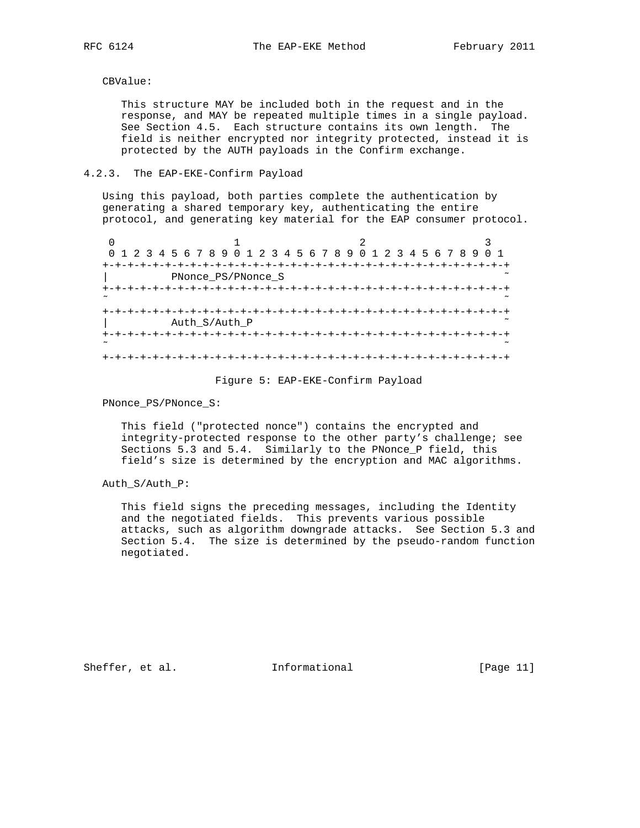CBValue:

 This structure MAY be included both in the request and in the response, and MAY be repeated multiple times in a single payload. See Section 4.5. Each structure contains its own length. The field is neither encrypted nor integrity protected, instead it is protected by the AUTH payloads in the Confirm exchange.

# 4.2.3. The EAP-EKE-Confirm Payload

 Using this payload, both parties complete the authentication by generating a shared temporary key, authenticating the entire protocol, and generating key material for the EAP consumer protocol.

|           |                    |                               | 0 1 2 3 4 5 6 7 8 9 0 1 2 3 4 5 6 7 8 9 0 1 2 3 4 5 6 7 8 9 0 1 |
|-----------|--------------------|-------------------------------|-----------------------------------------------------------------|
| $+ \cdot$ |                    |                               |                                                                 |
|           | PNonce PS/PNonce S |                               |                                                                 |
|           |                    | +-+-+-+-+-+-+-+-+-+-+-+-+-+-+ | +-+-+-+-+-+-+-+-+                                               |
|           |                    |                               |                                                                 |
|           |                    |                               | +-+-+-+-+-+-+-+-+-+-+-+-+-+-+-+-+-+-+                           |
|           | Auth_S/Auth_P      |                               |                                                                 |
|           |                    |                               |                                                                 |
|           |                    |                               |                                                                 |
|           |                    |                               |                                                                 |
|           |                    |                               |                                                                 |

### Figure 5: EAP-EKE-Confirm Payload

PNonce\_PS/PNonce\_S:

 This field ("protected nonce") contains the encrypted and integrity-protected response to the other party's challenge; see Sections 5.3 and 5.4. Similarly to the PNonce\_P field, this field's size is determined by the encryption and MAC algorithms.

Auth\_S/Auth\_P:

 This field signs the preceding messages, including the Identity and the negotiated fields. This prevents various possible attacks, such as algorithm downgrade attacks. See Section 5.3 and Section 5.4. The size is determined by the pseudo-random function negotiated.

Sheffer, et al. 1nformational [Page 11]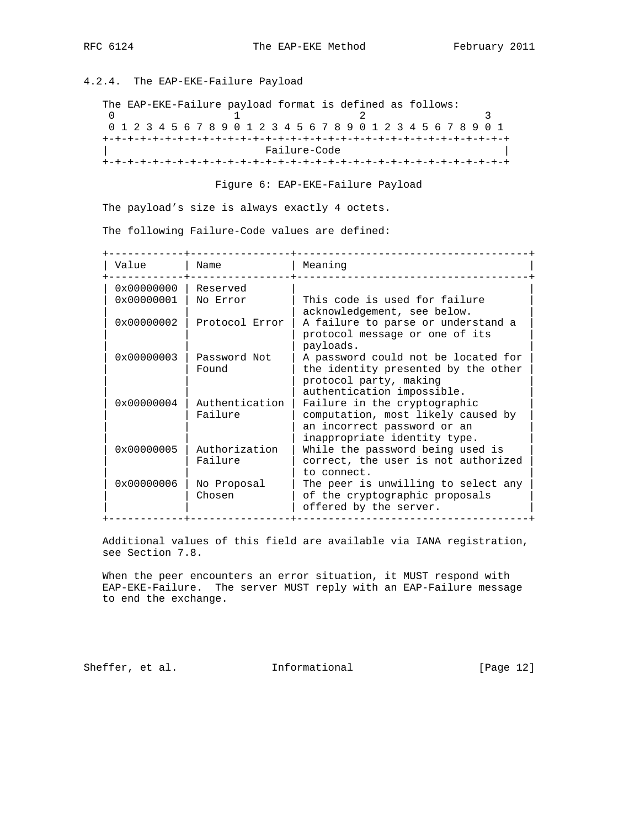# 4.2.4. The EAP-EKE-Failure Payload

| The EAP-EKE-Failure payload format is defined as follows: |  |  |  |  |  |  |              |  |  |  |  |  |  |                                                                 |  |  |
|-----------------------------------------------------------|--|--|--|--|--|--|--------------|--|--|--|--|--|--|-----------------------------------------------------------------|--|--|
|                                                           |  |  |  |  |  |  |              |  |  |  |  |  |  |                                                                 |  |  |
|                                                           |  |  |  |  |  |  |              |  |  |  |  |  |  | 0 1 2 3 4 5 6 7 8 9 0 1 2 3 4 5 6 7 8 9 0 1 2 3 4 5 6 7 8 9 0 1 |  |  |
|                                                           |  |  |  |  |  |  |              |  |  |  |  |  |  |                                                                 |  |  |
|                                                           |  |  |  |  |  |  | Failure-Code |  |  |  |  |  |  |                                                                 |  |  |
|                                                           |  |  |  |  |  |  |              |  |  |  |  |  |  |                                                                 |  |  |

Figure 6: EAP-EKE-Failure Payload

The payload's size is always exactly 4 octets.

The following Failure-Code values are defined:

| Value               | Name                      | Meaning                                                                                                                                                         |
|---------------------|---------------------------|-----------------------------------------------------------------------------------------------------------------------------------------------------------------|
| 0x00000000          | Reserved                  |                                                                                                                                                                 |
| $0 \times 00000001$ | No Error                  | This code is used for failure<br>acknowledgement, see below.                                                                                                    |
| $0 \times 00000002$ | Protocol Error            | A failure to parse or understand a<br>protocol message or one of its<br>payloads.                                                                               |
| $0 \times 00000003$ | Password Not<br>Found     | A password could not be located for<br>the identity presented by the other<br>protocol party, making                                                            |
| $0 \times 00000004$ | Authentication<br>Failure | authentication impossible.<br>Failure in the cryptographic<br>computation, most likely caused by<br>an incorrect password or an<br>inappropriate identity type. |
| $0 \times 00000005$ | Authorization<br>Failure  | While the password being used is<br>correct, the user is not authorized<br>to connect.                                                                          |
| $0 \times 00000006$ | No Proposal<br>Chosen     | The peer is unwilling to select any<br>of the cryptographic proposals<br>offered by the server.                                                                 |

 Additional values of this field are available via IANA registration, see Section 7.8.

 When the peer encounters an error situation, it MUST respond with EAP-EKE-Failure. The server MUST reply with an EAP-Failure message to end the exchange.

Sheffer, et al. 1nformational [Page 12]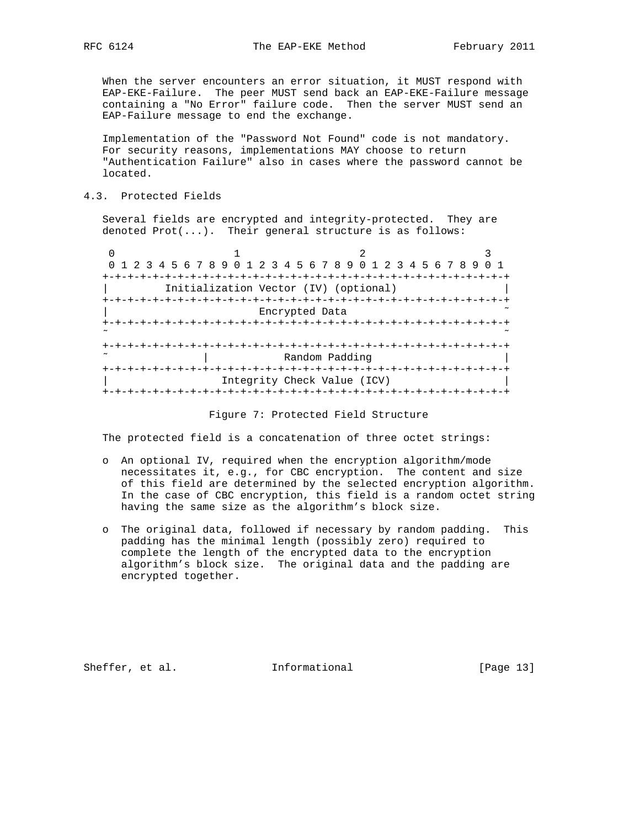When the server encounters an error situation, it MUST respond with EAP-EKE-Failure. The peer MUST send back an EAP-EKE-Failure message containing a "No Error" failure code. Then the server MUST send an EAP-Failure message to end the exchange.

 Implementation of the "Password Not Found" code is not mandatory. For security reasons, implementations MAY choose to return "Authentication Failure" also in cases where the password cannot be located.

4.3. Protected Fields

 Several fields are encrypted and integrity-protected. They are denoted  $Prot(...).$  Their general structure is as follows:

|                                       | 0 1 2 3 4 5 6 7 8 9 0 1 2 3 4 5 6 7 8 9 0 1 2 3 4 5 6 7 8 9 |  |
|---------------------------------------|-------------------------------------------------------------|--|
| +-+-+-+-+-+-+-+-+-+-+-+               |                                                             |  |
| Initialization Vector (IV) (optional) |                                                             |  |
|                                       |                                                             |  |
| Encrypted Data                        |                                                             |  |
|                                       |                                                             |  |
|                                       |                                                             |  |
| -+-+-+-+-+-+-+-+-+                    |                                                             |  |
| Random Padding                        |                                                             |  |
|                                       |                                                             |  |
| Integrity Check Value (ICV)           |                                                             |  |
| -+-+-+-+-+-+-+-+-+-+                  |                                                             |  |

#### Figure 7: Protected Field Structure

The protected field is a concatenation of three octet strings:

- o An optional IV, required when the encryption algorithm/mode necessitates it, e.g., for CBC encryption. The content and size of this field are determined by the selected encryption algorithm. In the case of CBC encryption, this field is a random octet string having the same size as the algorithm's block size.
- o The original data, followed if necessary by random padding. This padding has the minimal length (possibly zero) required to complete the length of the encrypted data to the encryption algorithm's block size. The original data and the padding are encrypted together.

Sheffer, et al. 1nformational [Page 13]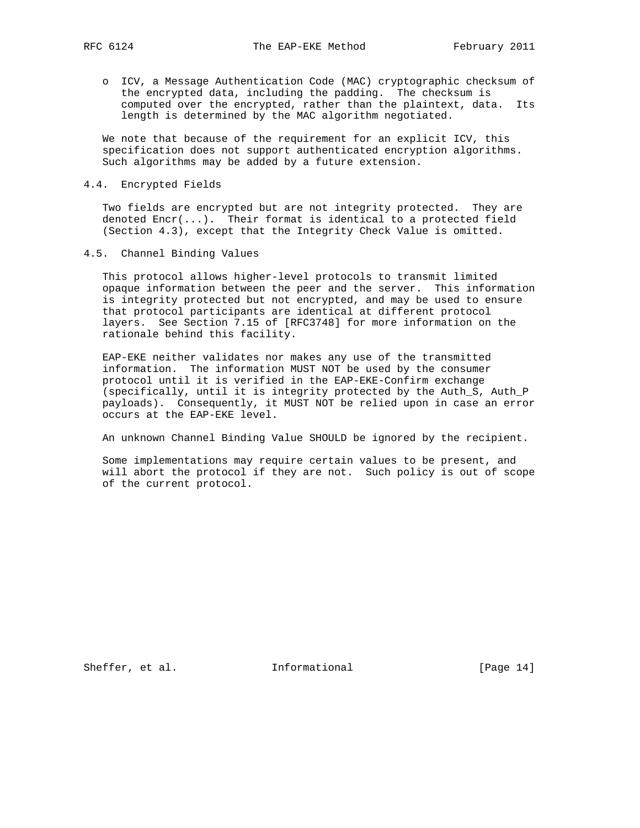o ICV, a Message Authentication Code (MAC) cryptographic checksum of the encrypted data, including the padding. The checksum is computed over the encrypted, rather than the plaintext, data. Its length is determined by the MAC algorithm negotiated.

 We note that because of the requirement for an explicit ICV, this specification does not support authenticated encryption algorithms. Such algorithms may be added by a future extension.

4.4. Encrypted Fields

 Two fields are encrypted but are not integrity protected. They are denoted Encr(...). Their format is identical to a protected field (Section 4.3), except that the Integrity Check Value is omitted.

4.5. Channel Binding Values

 This protocol allows higher-level protocols to transmit limited opaque information between the peer and the server. This information is integrity protected but not encrypted, and may be used to ensure that protocol participants are identical at different protocol layers. See Section 7.15 of [RFC3748] for more information on the rationale behind this facility.

 EAP-EKE neither validates nor makes any use of the transmitted information. The information MUST NOT be used by the consumer protocol until it is verified in the EAP-EKE-Confirm exchange (specifically, until it is integrity protected by the Auth\_S, Auth\_P payloads). Consequently, it MUST NOT be relied upon in case an error occurs at the EAP-EKE level.

An unknown Channel Binding Value SHOULD be ignored by the recipient.

 Some implementations may require certain values to be present, and will abort the protocol if they are not. Such policy is out of scope of the current protocol.

Sheffer, et al. 1nformational [Page 14]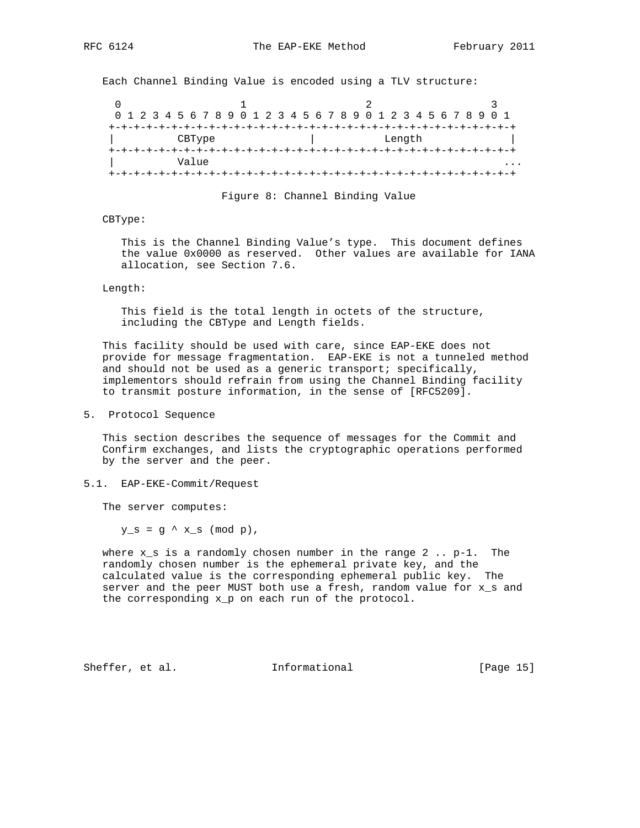Each Channel Binding Value is encoded using a TLV structure:

|  |  |  |       |        |  |  |  |  |  | 0 1 2 3 4 5 6 7 8 9 0 1 2 3 4 5 6 7 8 9 0 1 2 3 4 5 6 7 8 9 0 1 |  |        |  |  |  |  |  |
|--|--|--|-------|--------|--|--|--|--|--|-----------------------------------------------------------------|--|--------|--|--|--|--|--|
|  |  |  |       |        |  |  |  |  |  |                                                                 |  |        |  |  |  |  |  |
|  |  |  |       | CBType |  |  |  |  |  |                                                                 |  | Length |  |  |  |  |  |
|  |  |  |       |        |  |  |  |  |  |                                                                 |  |        |  |  |  |  |  |
|  |  |  | Value |        |  |  |  |  |  |                                                                 |  |        |  |  |  |  |  |
|  |  |  |       |        |  |  |  |  |  |                                                                 |  |        |  |  |  |  |  |

Figure 8: Channel Binding Value

#### CBType:

 This is the Channel Binding Value's type. This document defines the value 0x0000 as reserved. Other values are available for IANA allocation, see Section 7.6.

#### Length:

 This field is the total length in octets of the structure, including the CBType and Length fields.

 This facility should be used with care, since EAP-EKE does not provide for message fragmentation. EAP-EKE is not a tunneled method and should not be used as a generic transport; specifically, implementors should refrain from using the Channel Binding facility to transmit posture information, in the sense of [RFC5209].

5. Protocol Sequence

 This section describes the sequence of messages for the Commit and Confirm exchanges, and lists the cryptographic operations performed by the server and the peer.

5.1. EAP-EKE-Commit/Request

The server computes:

 $y_s = g' x_s \pmod{p}$ ,

where  $x_s$  is a randomly chosen number in the range  $2$ .. p-1. The randomly chosen number is the ephemeral private key, and the calculated value is the corresponding ephemeral public key. The server and the peer MUST both use a fresh, random value for x\_s and the corresponding x\_p on each run of the protocol.

Sheffer, et al. 10. Informational [Page 15]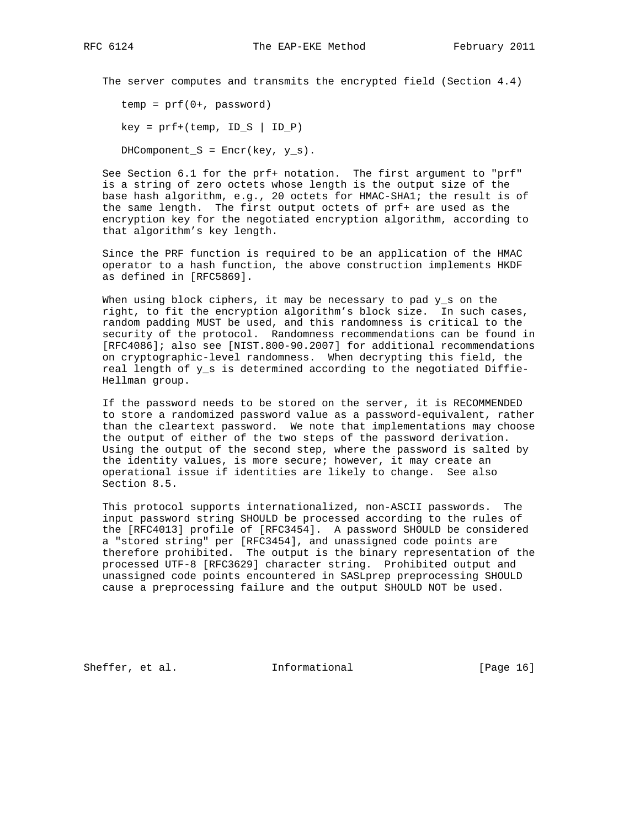The server computes and transmits the encrypted field (Section 4.4)

 $temp = prf(0+, password)$ 

 $key = prf+(temp, ID_S | ID_P)$ 

DHComponent\_S =  $Error(key, y_s)$ .

 See Section 6.1 for the prf+ notation. The first argument to "prf" is a string of zero octets whose length is the output size of the base hash algorithm, e.g., 20 octets for HMAC-SHA1; the result is of the same length. The first output octets of prf+ are used as the encryption key for the negotiated encryption algorithm, according to that algorithm's key length.

 Since the PRF function is required to be an application of the HMAC operator to a hash function, the above construction implements HKDF as defined in [RFC5869].

When using block ciphers, it may be necessary to pad y\_s on the right, to fit the encryption algorithm's block size. In such cases, random padding MUST be used, and this randomness is critical to the security of the protocol. Randomness recommendations can be found in [RFC4086]; also see [NIST.800-90.2007] for additional recommendations on cryptographic-level randomness. When decrypting this field, the real length of y\_s is determined according to the negotiated Diffie- Hellman group.

 If the password needs to be stored on the server, it is RECOMMENDED to store a randomized password value as a password-equivalent, rather than the cleartext password. We note that implementations may choose the output of either of the two steps of the password derivation. Using the output of the second step, where the password is salted by the identity values, is more secure; however, it may create an operational issue if identities are likely to change. See also Section 8.5.

 This protocol supports internationalized, non-ASCII passwords. The input password string SHOULD be processed according to the rules of the [RFC4013] profile of [RFC3454]. A password SHOULD be considered a "stored string" per [RFC3454], and unassigned code points are therefore prohibited. The output is the binary representation of the processed UTF-8 [RFC3629] character string. Prohibited output and unassigned code points encountered in SASLprep preprocessing SHOULD cause a preprocessing failure and the output SHOULD NOT be used.

Sheffer, et al. 1nformational [Page 16]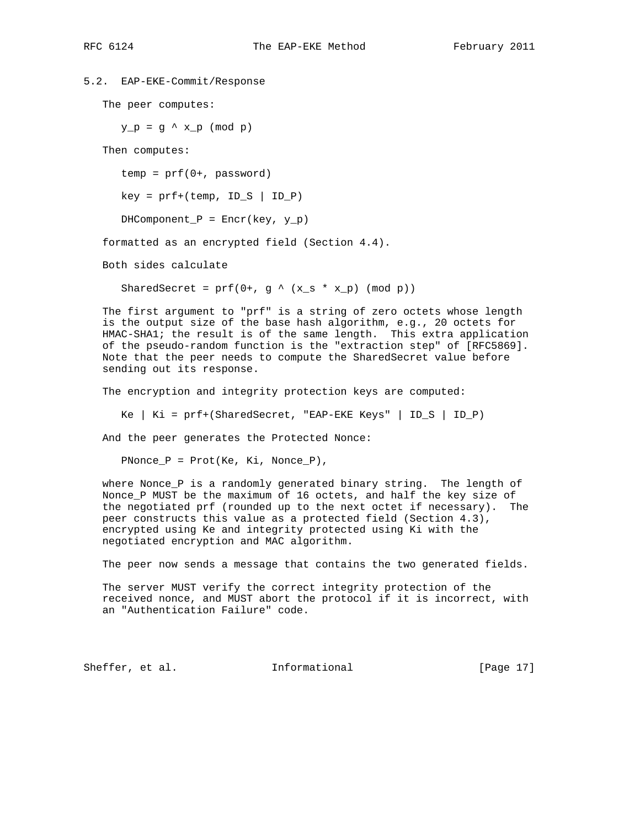```
5.2. EAP-EKE-Commit/Response
```
The peer computes:

 $y_p = g' x_p \pmod{p}$ 

Then computes:

 $temp = prf(0+, password)$ 

 $key = prf+(temp, ID_S | ID_P)$ 

 $DHComponent_P = Encr(key, y_p)$ 

formatted as an encrypted field (Section 4.4).

Both sides calculate

SharedSecret =  $prf(0+, g \land (x_s * x_p)$  (mod p))

 The first argument to "prf" is a string of zero octets whose length is the output size of the base hash algorithm, e.g., 20 octets for HMAC-SHA1; the result is of the same length. This extra application of the pseudo-random function is the "extraction step" of [RFC5869]. Note that the peer needs to compute the SharedSecret value before sending out its response.

The encryption and integrity protection keys are computed:

Ke | Ki = prf+(SharedSecret, "EAP-EKE Keys" | ID\_S | ID\_P)

And the peer generates the Protected Nonce:

PNonce\_P = Prot(Ke, Ki, Nonce\_P),

 where Nonce\_P is a randomly generated binary string. The length of Nonce\_P MUST be the maximum of 16 octets, and half the key size of the negotiated prf (rounded up to the next octet if necessary). The peer constructs this value as a protected field (Section 4.3), encrypted using Ke and integrity protected using Ki with the negotiated encryption and MAC algorithm.

The peer now sends a message that contains the two generated fields.

 The server MUST verify the correct integrity protection of the received nonce, and MUST abort the protocol if it is incorrect, with an "Authentication Failure" code.

Sheffer, et al. Informational [Page 17]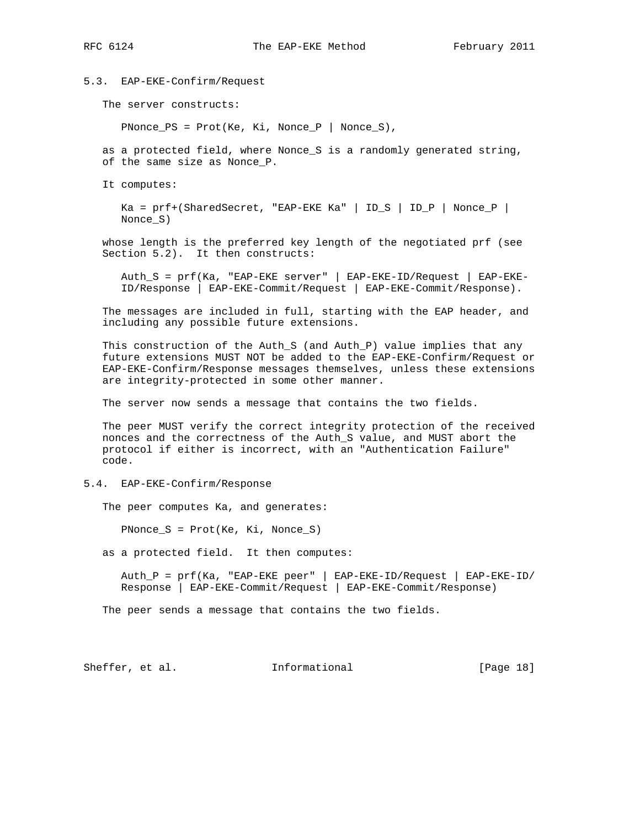5.3. EAP-EKE-Confirm/Request

The server constructs:

 $PNonce_PS = Prot(Ke, Ki, None_P | None_S),$ 

 as a protected field, where Nonce\_S is a randomly generated string, of the same size as Nonce\_P.

It computes:

 Ka = prf+(SharedSecret, "EAP-EKE Ka" | ID\_S | ID\_P | Nonce\_P | Nonce\_S)

 whose length is the preferred key length of the negotiated prf (see Section 5.2). It then constructs:

 Auth\_S = prf(Ka, "EAP-EKE server" | EAP-EKE-ID/Request | EAP-EKE- ID/Response | EAP-EKE-Commit/Request | EAP-EKE-Commit/Response).

 The messages are included in full, starting with the EAP header, and including any possible future extensions.

 This construction of the Auth\_S (and Auth\_P) value implies that any future extensions MUST NOT be added to the EAP-EKE-Confirm/Request or EAP-EKE-Confirm/Response messages themselves, unless these extensions are integrity-protected in some other manner.

The server now sends a message that contains the two fields.

 The peer MUST verify the correct integrity protection of the received nonces and the correctness of the Auth\_S value, and MUST abort the protocol if either is incorrect, with an "Authentication Failure" code.

5.4. EAP-EKE-Confirm/Response

The peer computes Ka, and generates:

PNonce  $S = \text{Prot}(Ke, Ki, \text{None S})$ 

as a protected field. It then computes:

 Auth\_P = prf(Ka, "EAP-EKE peer" | EAP-EKE-ID/Request | EAP-EKE-ID/ Response | EAP-EKE-Commit/Request | EAP-EKE-Commit/Response)

The peer sends a message that contains the two fields.

Sheffer, et al. 1nformational [Page 18]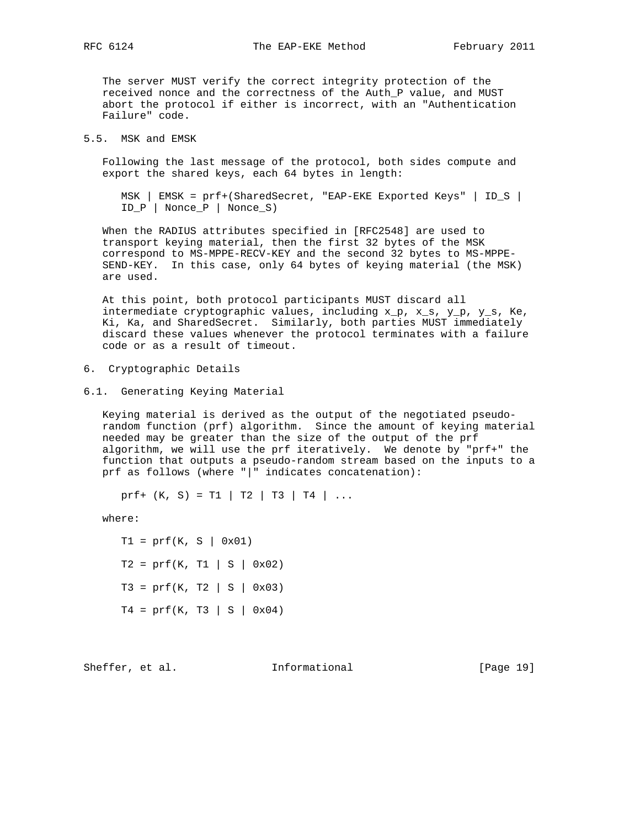The server MUST verify the correct integrity protection of the received nonce and the correctness of the Auth\_P value, and MUST abort the protocol if either is incorrect, with an "Authentication Failure" code.

5.5. MSK and EMSK

 Following the last message of the protocol, both sides compute and export the shared keys, each 64 bytes in length:

 MSK | EMSK = prf+(SharedSecret, "EAP-EKE Exported Keys" | ID\_S | ID\_P | Nonce\_P | Nonce\_S)

 When the RADIUS attributes specified in [RFC2548] are used to transport keying material, then the first 32 bytes of the MSK correspond to MS-MPPE-RECV-KEY and the second 32 bytes to MS-MPPE- SEND-KEY. In this case, only 64 bytes of keying material (the MSK) are used.

 At this point, both protocol participants MUST discard all intermediate cryptographic values, including  $x_p$ ,  $x_s$ ,  $y_p$ ,  $y_s$ , Ke, Ki, Ka, and SharedSecret. Similarly, both parties MUST immediately discard these values whenever the protocol terminates with a failure code or as a result of timeout.

- 6. Cryptographic Details
- 6.1. Generating Keying Material

 Keying material is derived as the output of the negotiated pseudo random function (prf) algorithm. Since the amount of keying material needed may be greater than the size of the output of the prf algorithm, we will use the prf iteratively. We denote by "prf+" the function that outputs a pseudo-random stream based on the inputs to a prf as follows (where "|" indicates concatenation):

prf+  $(K, S) = T1 | T2 | T3 | T4 | ...$ 

where:

 $T1 = prf(K, S | 0x01)$  $T2 = prf(K, T1 | S | 0x02)$  $T3 = prf(K, T2 | S | 0x03)$  $T4 = prf(K, T3 | S | 0x04)$ 

Sheffer, et al. 1nformational [Page 19]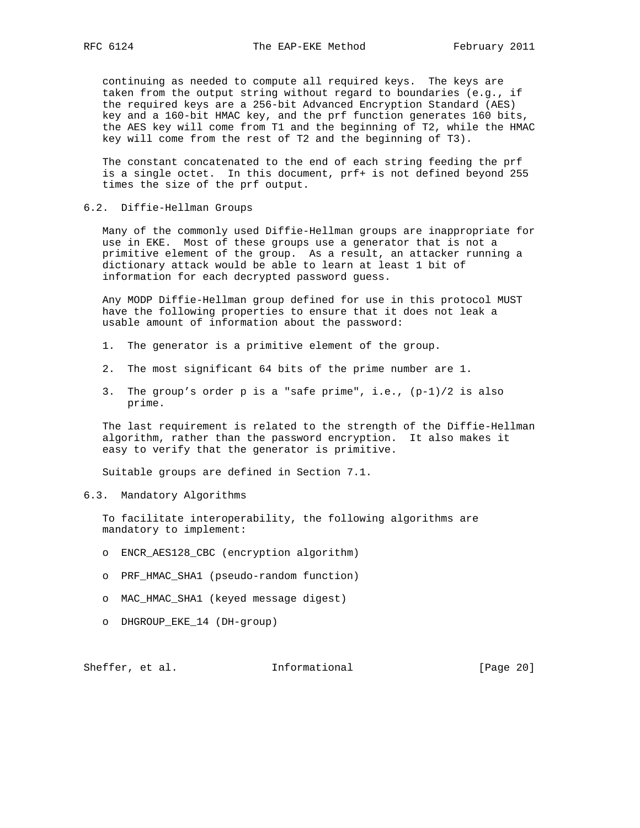continuing as needed to compute all required keys. The keys are taken from the output string without regard to boundaries (e.g., if the required keys are a 256-bit Advanced Encryption Standard (AES) key and a 160-bit HMAC key, and the prf function generates 160 bits, the AES key will come from T1 and the beginning of T2, while the HMAC key will come from the rest of T2 and the beginning of T3).

 The constant concatenated to the end of each string feeding the prf is a single octet. In this document, prf+ is not defined beyond 255 times the size of the prf output.

6.2. Diffie-Hellman Groups

 Many of the commonly used Diffie-Hellman groups are inappropriate for use in EKE. Most of these groups use a generator that is not a primitive element of the group. As a result, an attacker running a dictionary attack would be able to learn at least 1 bit of information for each decrypted password guess.

 Any MODP Diffie-Hellman group defined for use in this protocol MUST have the following properties to ensure that it does not leak a usable amount of information about the password:

- 1. The generator is a primitive element of the group.
- 2. The most significant 64 bits of the prime number are 1.
- 3. The group's order p is a "safe prime", i.e., (p-1)/2 is also prime.

 The last requirement is related to the strength of the Diffie-Hellman algorithm, rather than the password encryption. It also makes it easy to verify that the generator is primitive.

Suitable groups are defined in Section 7.1.

6.3. Mandatory Algorithms

 To facilitate interoperability, the following algorithms are mandatory to implement:

- o ENCR\_AES128\_CBC (encryption algorithm)
- o PRF\_HMAC\_SHA1 (pseudo-random function)
- o MAC\_HMAC\_SHA1 (keyed message digest)
- o DHGROUP\_EKE\_14 (DH-group)

Sheffer, et al. 1nformational [Page 20]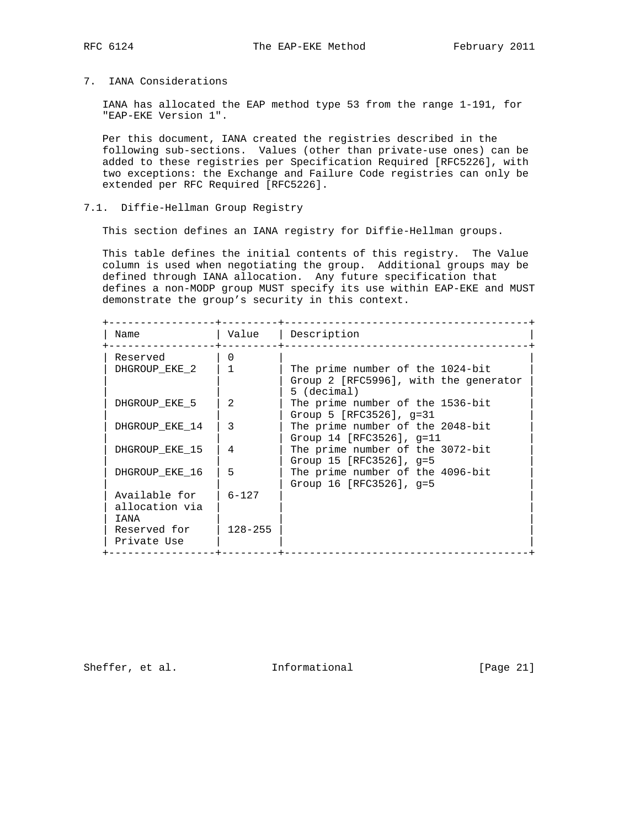# 7. IANA Considerations

 IANA has allocated the EAP method type 53 from the range 1-191, for "EAP-EKE Version 1".

 Per this document, IANA created the registries described in the following sub-sections. Values (other than private-use ones) can be added to these registries per Specification Required [RFC5226], with two exceptions: the Exchange and Failure Code registries can only be extended per RFC Required [RFC5226].

# 7.1. Diffie-Hellman Group Registry

This section defines an IANA registry for Diffie-Hellman groups.

 This table defines the initial contents of this registry. The Value column is used when negotiating the group. Additional groups may be defined through IANA allocation. Any future specification that defines a non-MODP group MUST specify its use within EAP-EKE and MUST demonstrate the group's security in this context.

| Name           | Value          | Description                                          |
|----------------|----------------|------------------------------------------------------|
| Reserved       | O.             |                                                      |
| DHGROUP EKE 2  |                | The prime number of the 1024-bit                     |
|                |                | Group 2 [RFC5996], with the generator<br>5 (decimal) |
| DHGROUP EKE 5  | $\mathfrak{D}$ | The prime number of the 1536-bit                     |
|                |                | Group $5$ [RFC3526], q=31                            |
| DHGROUP EKE 14 | 3              | The prime number of the 2048-bit                     |
|                |                | Group 14 [RFC3526], $q=11$                           |
| DHGROUP EKE 15 | 4              | The prime number of the 3072-bit                     |
|                |                | Group 15 [RFC3526], $q=5$                            |
| DHGROUP EKE 16 | 5              | The prime number of the 4096-bit                     |
|                |                | Group 16 [RFC3526], $q=5$                            |
| Available for  | $6 - 127$      |                                                      |
| allocation via |                |                                                      |
| T ANA          |                |                                                      |
| Reserved for   | $128 - 255$    |                                                      |
| Private Use    |                |                                                      |

Sheffer, et al. 1nformational [Page 21]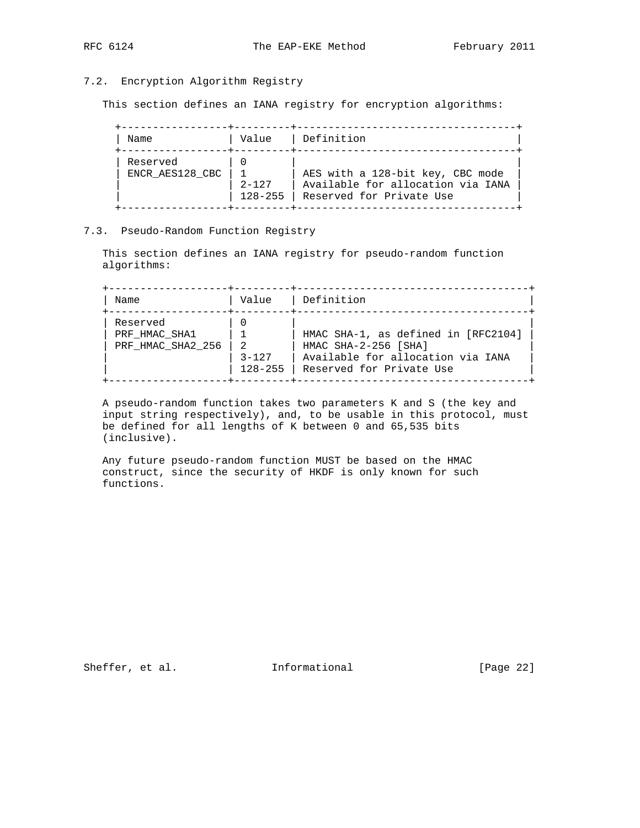# 7.2. Encryption Algorithm Registry

This section defines an IANA registry for encryption algorithms:

| Name                        | Value                    | Definition                                                                                        |
|-----------------------------|--------------------------|---------------------------------------------------------------------------------------------------|
| Reserved<br>ENCR AES128 CBC | $2 - 127$<br>$128 - 255$ | AES with a 128-bit key, CBC mode<br>Available for allocation via IANA<br>Reserved for Private Use |

## 7.3. Pseudo-Random Function Registry

 This section defines an IANA registry for pseudo-random function algorithms:

 +-------------------+---------+-------------------------------------+ | Name  $|$  Value  $|$  Definition +-------------------+---------+-------------------------------------+ | Reserved | 0 | | | PRF\_HMAC\_SHA1 | 1 | HMAC SHA-1, as defined in [RFC2104] | | PRF\_HMAC\_SHA2\_256 | 2 | HMAC SHA-2-256 [SHA] | | | 3-127 | Available for allocation via IANA | | | 128-255 | Reserved for Private Use | +-------------------+---------+-------------------------------------+

 A pseudo-random function takes two parameters K and S (the key and input string respectively), and, to be usable in this protocol, must be defined for all lengths of K between 0 and 65,535 bits (inclusive).

 Any future pseudo-random function MUST be based on the HMAC construct, since the security of HKDF is only known for such functions.

Sheffer, et al. 1nformational [Page 22]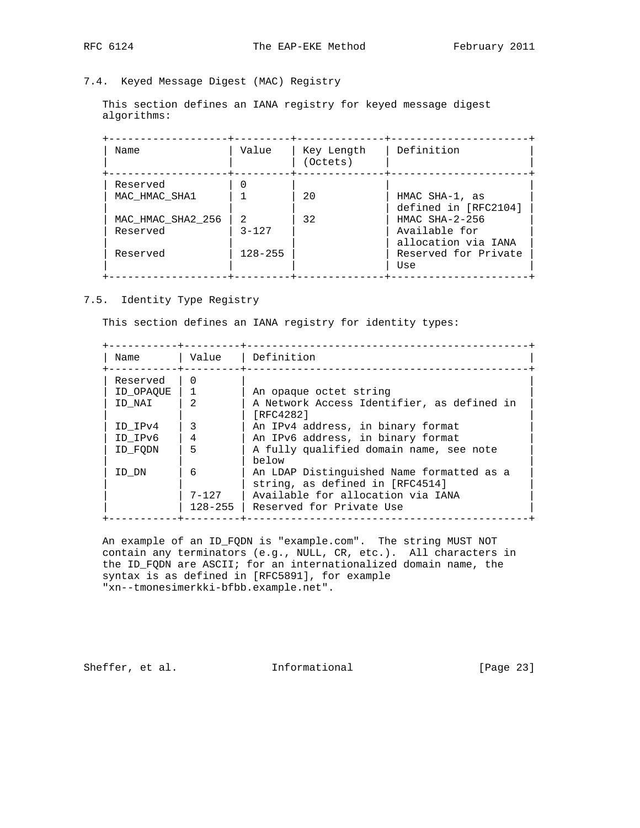7.4. Keyed Message Digest (MAC) Registry

 This section defines an IANA registry for keyed message digest algorithms:

| Name                          | Value                      | Key Length<br>(Octets) | Definition                                                |
|-------------------------------|----------------------------|------------------------|-----------------------------------------------------------|
| Reserved<br>MAC HMAC SHA1     |                            | 20                     | HMAC SHA-1, as                                            |
| MAC HMAC SHA2 256<br>Reserved | $\mathcal{L}$<br>$3 - 127$ | 32                     | defined in [RFC2104]<br>$HMAC$ SHA-2-256<br>Available for |
| Reserved                      | $128 - 255$                |                        | allocation via IANA<br>Reserved for Private               |
|                               |                            |                        | Use                                                       |

7.5. Identity Type Registry

This section defines an IANA registry for identity types:

| Name      | Value                    | Definition                                                                   |
|-----------|--------------------------|------------------------------------------------------------------------------|
| Reserved  | O                        |                                                                              |
| ID OPAQUE |                          | An opaque octet string                                                       |
| ID NAI    |                          | A Network Access Identifier, as defined in<br>[RFC4282]                      |
| ID IPv4   | 3                        | An IPv4 address, in binary format                                            |
| ID IPv6   | 4                        | An IPv6 address, in binary format                                            |
| ID FODN   | 5                        | A fully qualified domain name, see note<br>below                             |
| ID DN     | 6                        | An LDAP Distinguished Name formatted as a<br>string, as defined in [RFC4514] |
|           | $7 - 127$<br>$128 - 255$ | Available for allocation via IANA<br>Reserved for Private Use                |

 An example of an ID\_FQDN is "example.com". The string MUST NOT contain any terminators (e.g., NULL, CR, etc.). All characters in the ID\_FQDN are ASCII; for an internationalized domain name, the syntax is as defined in [RFC5891], for example "xn--tmonesimerkki-bfbb.example.net".

Sheffer, et al. 1nformational [Page 23]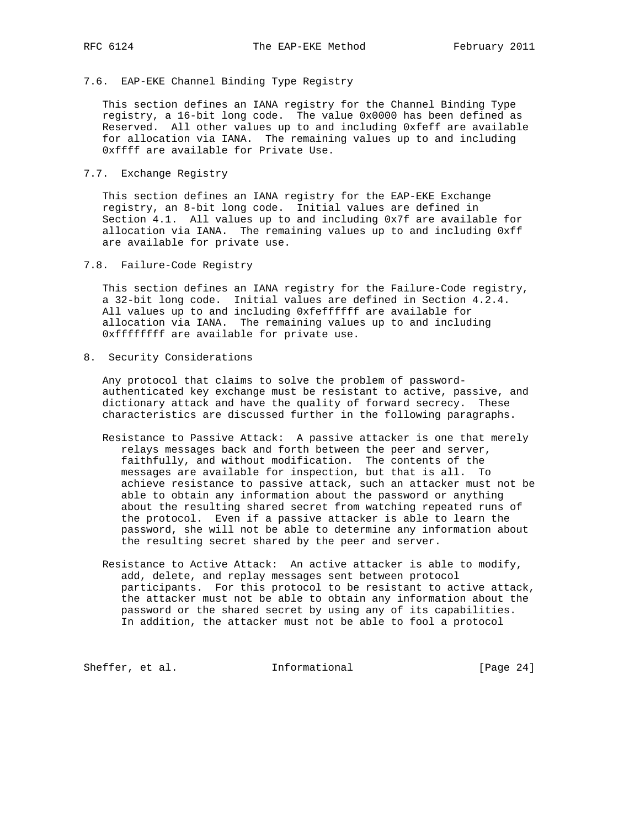## 7.6. EAP-EKE Channel Binding Type Registry

 This section defines an IANA registry for the Channel Binding Type registry, a 16-bit long code. The value 0x0000 has been defined as Reserved. All other values up to and including 0xfeff are available for allocation via IANA. The remaining values up to and including 0xffff are available for Private Use.

# 7.7. Exchange Registry

 This section defines an IANA registry for the EAP-EKE Exchange registry, an 8-bit long code. Initial values are defined in Section 4.1. All values up to and including 0x7f are available for allocation via IANA. The remaining values up to and including 0xff are available for private use.

7.8. Failure-Code Registry

 This section defines an IANA registry for the Failure-Code registry, a 32-bit long code. Initial values are defined in Section 4.2.4. All values up to and including 0xfeffffff are available for allocation via IANA. The remaining values up to and including 0xffffffff are available for private use.

8. Security Considerations

 Any protocol that claims to solve the problem of password authenticated key exchange must be resistant to active, passive, and dictionary attack and have the quality of forward secrecy. These characteristics are discussed further in the following paragraphs.

- Resistance to Passive Attack: A passive attacker is one that merely relays messages back and forth between the peer and server, faithfully, and without modification. The contents of the messages are available for inspection, but that is all. To achieve resistance to passive attack, such an attacker must not be able to obtain any information about the password or anything about the resulting shared secret from watching repeated runs of the protocol. Even if a passive attacker is able to learn the password, she will not be able to determine any information about the resulting secret shared by the peer and server.
- Resistance to Active Attack: An active attacker is able to modify, add, delete, and replay messages sent between protocol participants. For this protocol to be resistant to active attack, the attacker must not be able to obtain any information about the password or the shared secret by using any of its capabilities. In addition, the attacker must not be able to fool a protocol

Sheffer, et al. **Informational** [Page 24]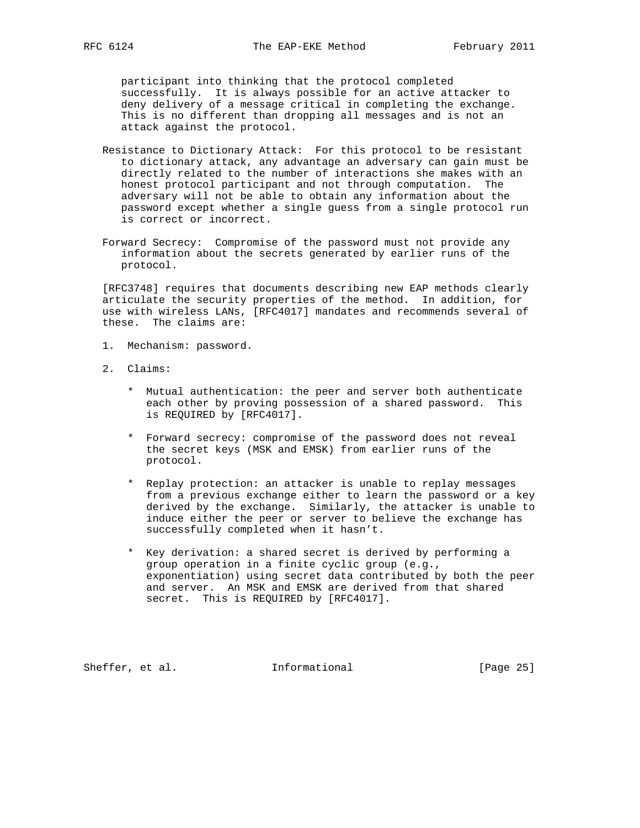participant into thinking that the protocol completed successfully. It is always possible for an active attacker to deny delivery of a message critical in completing the exchange. This is no different than dropping all messages and is not an attack against the protocol.

- Resistance to Dictionary Attack: For this protocol to be resistant to dictionary attack, any advantage an adversary can gain must be directly related to the number of interactions she makes with an honest protocol participant and not through computation. The adversary will not be able to obtain any information about the password except whether a single guess from a single protocol run is correct or incorrect.
- Forward Secrecy: Compromise of the password must not provide any information about the secrets generated by earlier runs of the protocol.

 [RFC3748] requires that documents describing new EAP methods clearly articulate the security properties of the method. In addition, for use with wireless LANs, [RFC4017] mandates and recommends several of these. The claims are:

- 1. Mechanism: password.
- 2. Claims:
	- \* Mutual authentication: the peer and server both authenticate each other by proving possession of a shared password. This is REQUIRED by [RFC4017].
	- \* Forward secrecy: compromise of the password does not reveal the secret keys (MSK and EMSK) from earlier runs of the protocol.
	- \* Replay protection: an attacker is unable to replay messages from a previous exchange either to learn the password or a key derived by the exchange. Similarly, the attacker is unable to induce either the peer or server to believe the exchange has successfully completed when it hasn't.
	- \* Key derivation: a shared secret is derived by performing a group operation in a finite cyclic group (e.g., exponentiation) using secret data contributed by both the peer and server. An MSK and EMSK are derived from that shared secret. This is REQUIRED by [RFC4017].

Sheffer, et al. 1nformational [Page 25]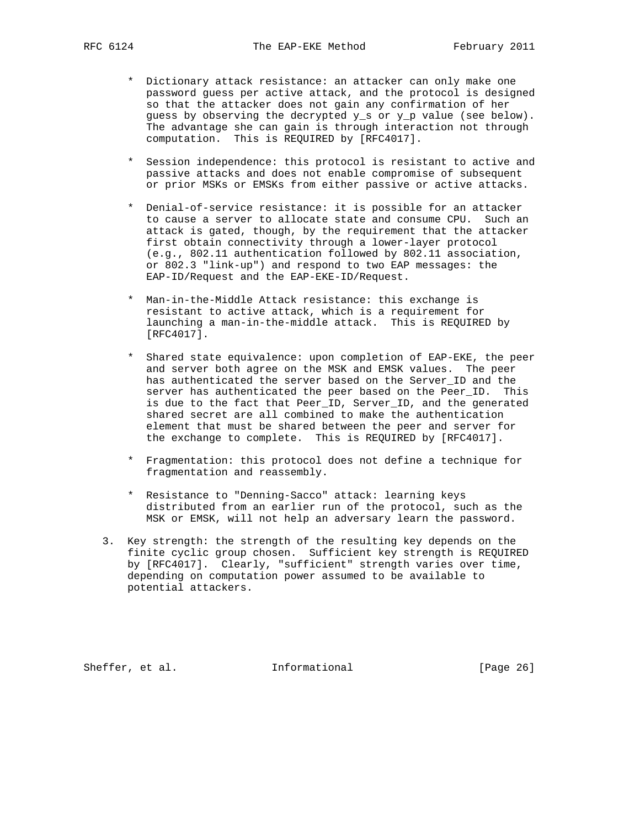- \* Dictionary attack resistance: an attacker can only make one password guess per active attack, and the protocol is designed so that the attacker does not gain any confirmation of her guess by observing the decrypted y\_s or y\_p value (see below). The advantage she can gain is through interaction not through computation. This is REQUIRED by [RFC4017].
- \* Session independence: this protocol is resistant to active and passive attacks and does not enable compromise of subsequent or prior MSKs or EMSKs from either passive or active attacks.
- \* Denial-of-service resistance: it is possible for an attacker to cause a server to allocate state and consume CPU. Such an attack is gated, though, by the requirement that the attacker first obtain connectivity through a lower-layer protocol (e.g., 802.11 authentication followed by 802.11 association, or 802.3 "link-up") and respond to two EAP messages: the EAP-ID/Request and the EAP-EKE-ID/Request.
- \* Man-in-the-Middle Attack resistance: this exchange is resistant to active attack, which is a requirement for launching a man-in-the-middle attack. This is REQUIRED by [RFC4017].
- \* Shared state equivalence: upon completion of EAP-EKE, the peer and server both agree on the MSK and EMSK values. The peer has authenticated the server based on the Server\_ID and the server has authenticated the peer based on the Peer\_ID. This is due to the fact that Peer\_ID, Server\_ID, and the generated shared secret are all combined to make the authentication element that must be shared between the peer and server for the exchange to complete. This is REQUIRED by [RFC4017].
- \* Fragmentation: this protocol does not define a technique for fragmentation and reassembly.
- \* Resistance to "Denning-Sacco" attack: learning keys distributed from an earlier run of the protocol, such as the MSK or EMSK, will not help an adversary learn the password.
- 3. Key strength: the strength of the resulting key depends on the finite cyclic group chosen. Sufficient key strength is REQUIRED by [RFC4017]. Clearly, "sufficient" strength varies over time, depending on computation power assumed to be available to potential attackers.

Sheffer, et al. 1nformational [Page 26]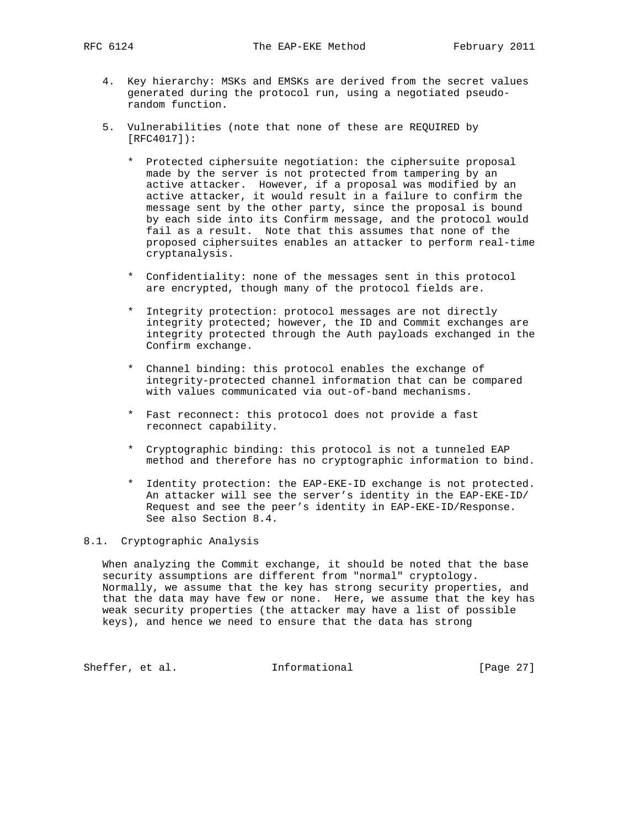- 4. Key hierarchy: MSKs and EMSKs are derived from the secret values generated during the protocol run, using a negotiated pseudo random function.
- 5. Vulnerabilities (note that none of these are REQUIRED by [RFC4017]):
	- \* Protected ciphersuite negotiation: the ciphersuite proposal made by the server is not protected from tampering by an active attacker. However, if a proposal was modified by an active attacker, it would result in a failure to confirm the message sent by the other party, since the proposal is bound by each side into its Confirm message, and the protocol would fail as a result. Note that this assumes that none of the proposed ciphersuites enables an attacker to perform real-time cryptanalysis.
	- \* Confidentiality: none of the messages sent in this protocol are encrypted, though many of the protocol fields are.
	- \* Integrity protection: protocol messages are not directly integrity protected; however, the ID and Commit exchanges are integrity protected through the Auth payloads exchanged in the Confirm exchange.
	- \* Channel binding: this protocol enables the exchange of integrity-protected channel information that can be compared with values communicated via out-of-band mechanisms.
	- \* Fast reconnect: this protocol does not provide a fast reconnect capability.
	- \* Cryptographic binding: this protocol is not a tunneled EAP method and therefore has no cryptographic information to bind.
	- \* Identity protection: the EAP-EKE-ID exchange is not protected. An attacker will see the server's identity in the EAP-EKE-ID/ Request and see the peer's identity in EAP-EKE-ID/Response. See also Section 8.4.

# 8.1. Cryptographic Analysis

 When analyzing the Commit exchange, it should be noted that the base security assumptions are different from "normal" cryptology. Normally, we assume that the key has strong security properties, and that the data may have few or none. Here, we assume that the key has weak security properties (the attacker may have a list of possible keys), and hence we need to ensure that the data has strong

Sheffer, et al. 1nformational [Page 27]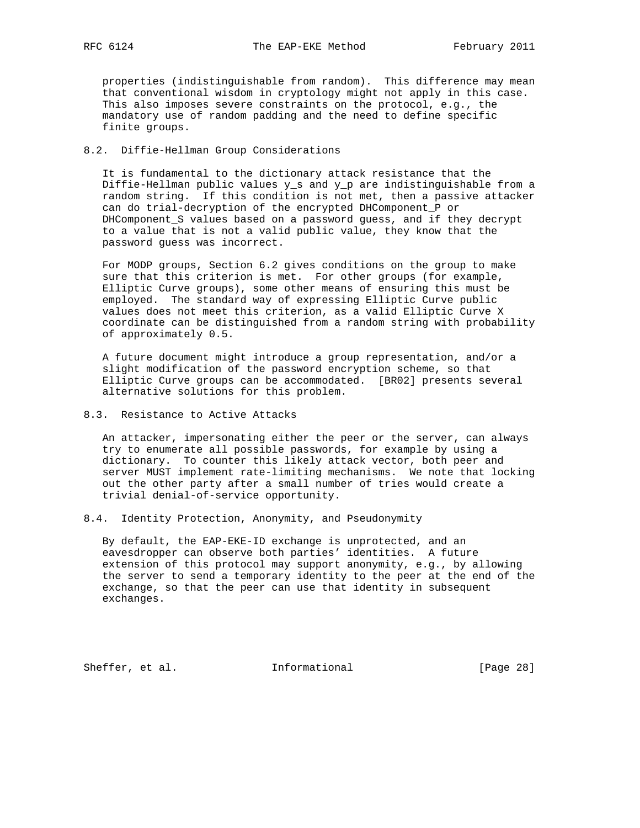properties (indistinguishable from random). This difference may mean that conventional wisdom in cryptology might not apply in this case. This also imposes severe constraints on the protocol, e.g., the mandatory use of random padding and the need to define specific finite groups.

## 8.2. Diffie-Hellman Group Considerations

 It is fundamental to the dictionary attack resistance that the Diffie-Hellman public values y\_s and y\_p are indistinguishable from a random string. If this condition is not met, then a passive attacker can do trial-decryption of the encrypted DHComponent\_P or DHComponent\_S values based on a password guess, and if they decrypt to a value that is not a valid public value, they know that the password guess was incorrect.

 For MODP groups, Section 6.2 gives conditions on the group to make sure that this criterion is met. For other groups (for example, Elliptic Curve groups), some other means of ensuring this must be employed. The standard way of expressing Elliptic Curve public values does not meet this criterion, as a valid Elliptic Curve X coordinate can be distinguished from a random string with probability of approximately 0.5.

 A future document might introduce a group representation, and/or a slight modification of the password encryption scheme, so that Elliptic Curve groups can be accommodated. [BR02] presents several alternative solutions for this problem.

# 8.3. Resistance to Active Attacks

 An attacker, impersonating either the peer or the server, can always try to enumerate all possible passwords, for example by using a dictionary. To counter this likely attack vector, both peer and server MUST implement rate-limiting mechanisms. We note that locking out the other party after a small number of tries would create a trivial denial-of-service opportunity.

8.4. Identity Protection, Anonymity, and Pseudonymity

 By default, the EAP-EKE-ID exchange is unprotected, and an eavesdropper can observe both parties' identities. A future extension of this protocol may support anonymity, e.g., by allowing the server to send a temporary identity to the peer at the end of the exchange, so that the peer can use that identity in subsequent exchanges.

Sheffer, et al. 1nformational [Page 28]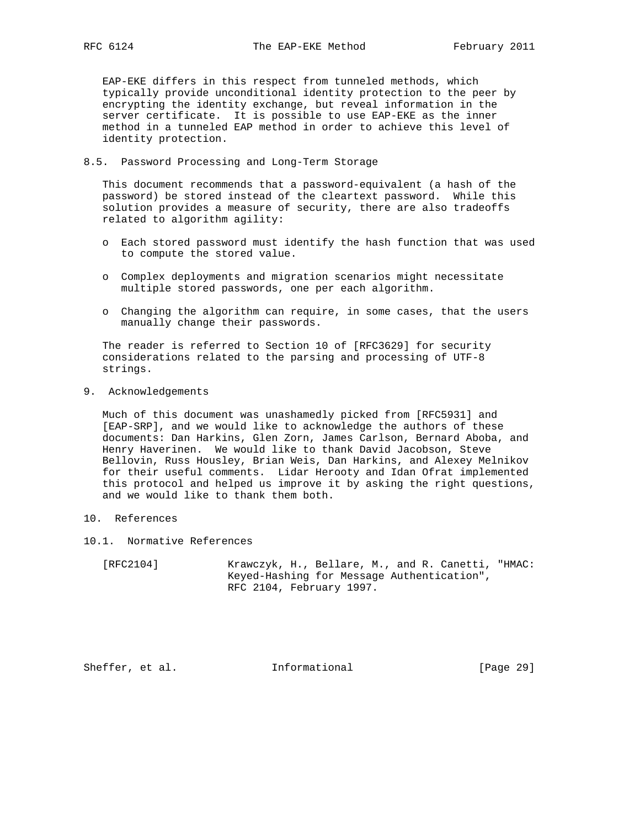EAP-EKE differs in this respect from tunneled methods, which typically provide unconditional identity protection to the peer by encrypting the identity exchange, but reveal information in the server certificate. It is possible to use EAP-EKE as the inner method in a tunneled EAP method in order to achieve this level of identity protection.

#### 8.5. Password Processing and Long-Term Storage

 This document recommends that a password-equivalent (a hash of the password) be stored instead of the cleartext password. While this solution provides a measure of security, there are also tradeoffs related to algorithm agility:

- o Each stored password must identify the hash function that was used to compute the stored value.
- o Complex deployments and migration scenarios might necessitate multiple stored passwords, one per each algorithm.
- o Changing the algorithm can require, in some cases, that the users manually change their passwords.

 The reader is referred to Section 10 of [RFC3629] for security considerations related to the parsing and processing of UTF-8 strings.

9. Acknowledgements

 Much of this document was unashamedly picked from [RFC5931] and [EAP-SRP], and we would like to acknowledge the authors of these documents: Dan Harkins, Glen Zorn, James Carlson, Bernard Aboba, and Henry Haverinen. We would like to thank David Jacobson, Steve Bellovin, Russ Housley, Brian Weis, Dan Harkins, and Alexey Melnikov for their useful comments. Lidar Herooty and Idan Ofrat implemented this protocol and helped us improve it by asking the right questions, and we would like to thank them both.

- 10. References
- 10.1. Normative References
	- [RFC2104] Krawczyk, H., Bellare, M., and R. Canetti, "HMAC: Keyed-Hashing for Message Authentication", RFC 2104, February 1997.

Sheffer, et al. 1nformational [Page 29]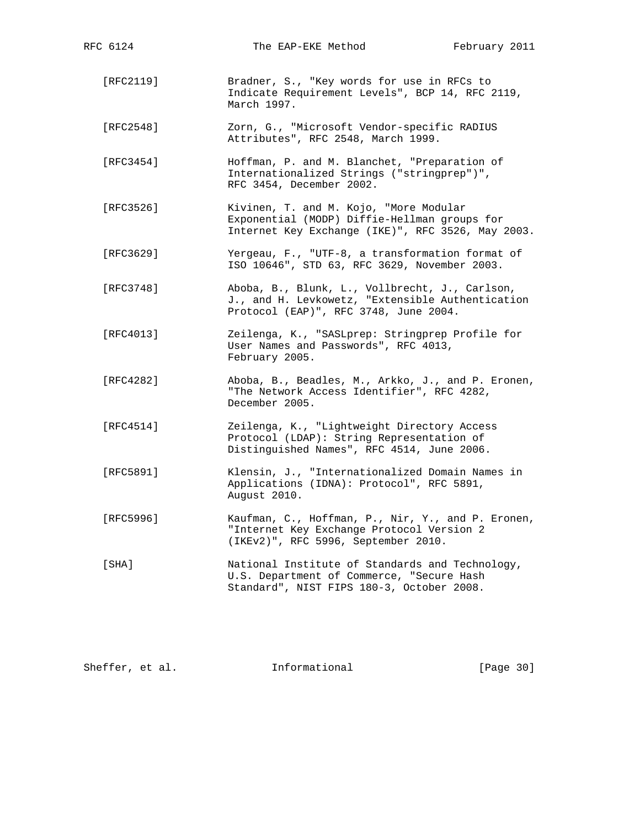| RFC 6124  | The EAP-EKE Method                                                                                                                          | February 2011 |
|-----------|---------------------------------------------------------------------------------------------------------------------------------------------|---------------|
| [RFC2119] | Bradner, S., "Key words for use in RFCs to<br>Indicate Requirement Levels", BCP 14, RFC 2119,<br>March 1997.                                |               |
| [RFC2548] | Zorn, G., "Microsoft Vendor-specific RADIUS<br>Attributes", RFC 2548, March 1999.                                                           |               |
| [RFC3454] | Hoffman, P. and M. Blanchet, "Preparation of<br>Internationalized Strings ("stringprep")",<br>RFC 3454, December 2002.                      |               |
| [RFC3526] | Kivinen, T. and M. Kojo, "More Modular<br>Exponential (MODP) Diffie-Hellman groups for<br>Internet Key Exchange (IKE)", RFC 3526, May 2003. |               |
| [RFC3629] | Yergeau, F., "UTF-8, a transformation format of<br>ISO 10646", STD 63, RFC 3629, November 2003.                                             |               |
| [RFC3748] | Aboba, B., Blunk, L., Vollbrecht, J., Carlson,<br>J., and H. Levkowetz, "Extensible Authentication<br>Protocol (EAP)", RFC 3748, June 2004. |               |
| [RFC4013] | Zeilenga, K., "SASLprep: Stringprep Profile for<br>User Names and Passwords", RFC 4013,<br>February 2005.                                   |               |
| [RFC4282] | Aboba, B., Beadles, M., Arkko, J., and P. Eronen,<br>"The Network Access Identifier", RFC 4282,<br>December 2005.                           |               |
| [RFC4514] | Zeilenga, K., "Lightweight Directory Access<br>Protocol (LDAP): String Representation of<br>Distinguished Names", RFC 4514, June 2006.      |               |
| [RFC5891] | Klensin, J., "Internationalized Domain Names in<br>Applications (IDNA): Protocol", RFC 5891,<br>August 2010.                                |               |
| [RFC5996] | Kaufman, C., Hoffman, P., Nir, Y., and P. Eronen,<br>"Internet Key Exchange Protocol Version 2<br>(IKEv2)", RFC 5996, September 2010.       |               |
| [SHA]     | National Institute of Standards and Technology,<br>U.S. Department of Commerce, "Secure Hash<br>Standard", NIST FIPS 180-3, October 2008.   |               |

Sheffer, et al. 1nformational [Page 30]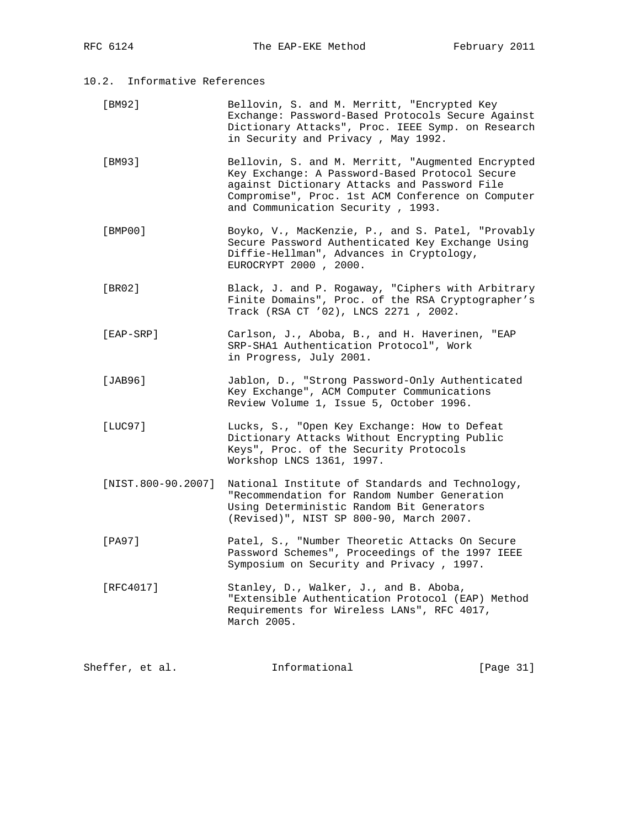- [BM92] Bellovin, S. and M. Merritt, "Encrypted Key Exchange: Password-Based Protocols Secure Against Dictionary Attacks", Proc. IEEE Symp. on Research in Security and Privacy , May 1992.
- [BM93] Bellovin, S. and M. Merritt, "Augmented Encrypted Key Exchange: A Password-Based Protocol Secure against Dictionary Attacks and Password File Compromise", Proc. 1st ACM Conference on Computer and Communication Security , 1993.
- [BMP00] Boyko, V., MacKenzie, P., and S. Patel, "Provably Secure Password Authenticated Key Exchange Using Diffie-Hellman", Advances in Cryptology, EUROCRYPT 2000 , 2000.
- [BR02] Black, J. and P. Rogaway, "Ciphers with Arbitrary Finite Domains", Proc. of the RSA Cryptographer's Track (RSA CT '02), LNCS 2271 , 2002.
- [EAP-SRP] Carlson, J., Aboba, B., and H. Haverinen, "EAP SRP-SHA1 Authentication Protocol", Work in Progress, July 2001.
- [JAB96] Jablon, D., "Strong Password-Only Authenticated Key Exchange", ACM Computer Communications Review Volume 1, Issue 5, October 1996.
- [LUC97] Lucks, S., "Open Key Exchange: How to Defeat Dictionary Attacks Without Encrypting Public Keys", Proc. of the Security Protocols Workshop LNCS 1361, 1997.
- [NIST.800-90.2007] National Institute of Standards and Technology, "Recommendation for Random Number Generation Using Deterministic Random Bit Generators (Revised)", NIST SP 800-90, March 2007.
- [PA97] Patel, S., "Number Theoretic Attacks On Secure Password Schemes", Proceedings of the 1997 IEEE Symposium on Security and Privacy , 1997.
- [RFC4017] Stanley, D., Walker, J., and B. Aboba, "Extensible Authentication Protocol (EAP) Method Requirements for Wireless LANs", RFC 4017, March 2005.

| Sheffer, et al. | Informational | [Page 31] |
|-----------------|---------------|-----------|
|                 |               |           |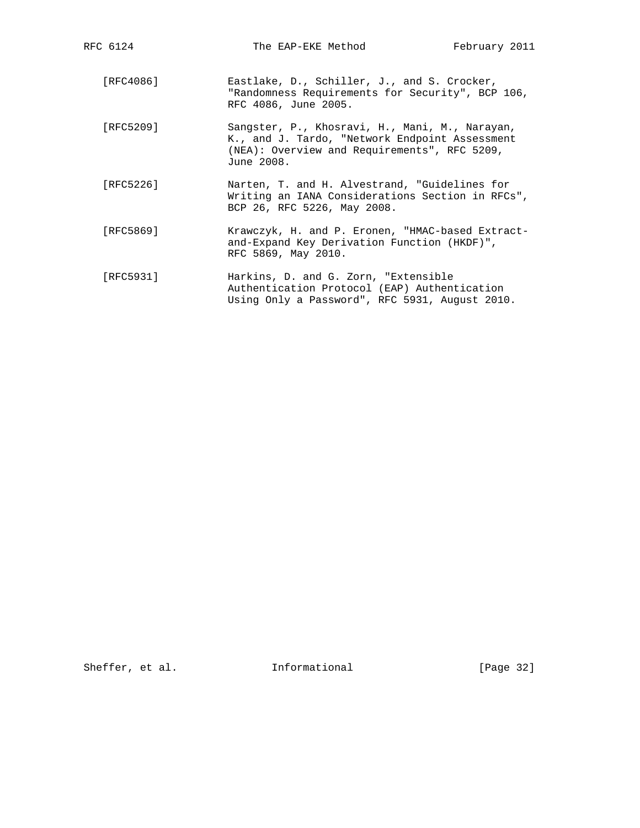| RFC 6124  | The EAP-EKE Method                                                                                                                                             | February 2011 |
|-----------|----------------------------------------------------------------------------------------------------------------------------------------------------------------|---------------|
| [RFC4086] | Eastlake, D., Schiller, J., and S. Crocker,<br>"Randomness Requirements for Security", BCP 106,<br>RFC 4086, June 2005.                                        |               |
| [RFC5209] | Sangster, P., Khosravi, H., Mani, M., Narayan,<br>K., and J. Tardo, "Network Endpoint Assessment<br>(NEA): Overview and Requirements", RFC 5209,<br>June 2008. |               |
| [RFC5226] | Narten, T. and H. Alvestrand, "Guidelines for<br>Writing an IANA Considerations Section in RFCs",<br>BCP 26, RFC 5226, May 2008.                               |               |
| [RFC5869] | Krawczyk, H. and P. Eronen, "HMAC-based Extract-<br>and-Expand Key Derivation Function (HKDF)",<br>RFC 5869, May 2010.                                         |               |
| [RFC5931] | Harkins, D. and G. Zorn, "Extensible<br>Authentication Protocol (EAP) Authentication<br>Using Only a Password", RFC 5931, August 2010.                         |               |